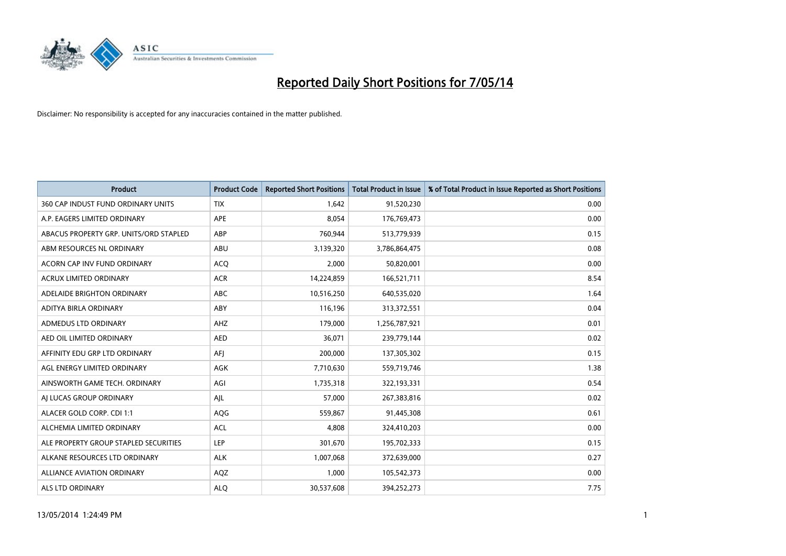

| <b>Product</b>                         | <b>Product Code</b> | <b>Reported Short Positions</b> | <b>Total Product in Issue</b> | % of Total Product in Issue Reported as Short Positions |
|----------------------------------------|---------------------|---------------------------------|-------------------------------|---------------------------------------------------------|
| 360 CAP INDUST FUND ORDINARY UNITS     | <b>TIX</b>          | 1,642                           | 91,520,230                    | 0.00                                                    |
| A.P. EAGERS LIMITED ORDINARY           | APE                 | 8,054                           | 176,769,473                   | 0.00                                                    |
| ABACUS PROPERTY GRP. UNITS/ORD STAPLED | ABP                 | 760,944                         | 513,779,939                   | 0.15                                                    |
| ABM RESOURCES NL ORDINARY              | ABU                 | 3,139,320                       | 3,786,864,475                 | 0.08                                                    |
| ACORN CAP INV FUND ORDINARY            | <b>ACQ</b>          | 2,000                           | 50,820,001                    | 0.00                                                    |
| <b>ACRUX LIMITED ORDINARY</b>          | <b>ACR</b>          | 14,224,859                      | 166,521,711                   | 8.54                                                    |
| ADELAIDE BRIGHTON ORDINARY             | <b>ABC</b>          | 10,516,250                      | 640,535,020                   | 1.64                                                    |
| ADITYA BIRLA ORDINARY                  | ABY                 | 116,196                         | 313,372,551                   | 0.04                                                    |
| ADMEDUS LTD ORDINARY                   | AHZ                 | 179,000                         | 1,256,787,921                 | 0.01                                                    |
| AED OIL LIMITED ORDINARY               | <b>AED</b>          | 36,071                          | 239,779,144                   | 0.02                                                    |
| AFFINITY EDU GRP LTD ORDINARY          | AFI                 | 200,000                         | 137,305,302                   | 0.15                                                    |
| AGL ENERGY LIMITED ORDINARY            | AGK                 | 7,710,630                       | 559,719,746                   | 1.38                                                    |
| AINSWORTH GAME TECH. ORDINARY          | AGI                 | 1,735,318                       | 322,193,331                   | 0.54                                                    |
| AI LUCAS GROUP ORDINARY                | AJL                 | 57,000                          | 267,383,816                   | 0.02                                                    |
| ALACER GOLD CORP. CDI 1:1              | AQG                 | 559,867                         | 91,445,308                    | 0.61                                                    |
| ALCHEMIA LIMITED ORDINARY              | <b>ACL</b>          | 4,808                           | 324,410,203                   | 0.00                                                    |
| ALE PROPERTY GROUP STAPLED SECURITIES  | LEP                 | 301,670                         | 195,702,333                   | 0.15                                                    |
| ALKANE RESOURCES LTD ORDINARY          | <b>ALK</b>          | 1,007,068                       | 372,639,000                   | 0.27                                                    |
| <b>ALLIANCE AVIATION ORDINARY</b>      | AQZ                 | 1,000                           | 105,542,373                   | 0.00                                                    |
| ALS LTD ORDINARY                       | <b>ALO</b>          | 30,537,608                      | 394,252,273                   | 7.75                                                    |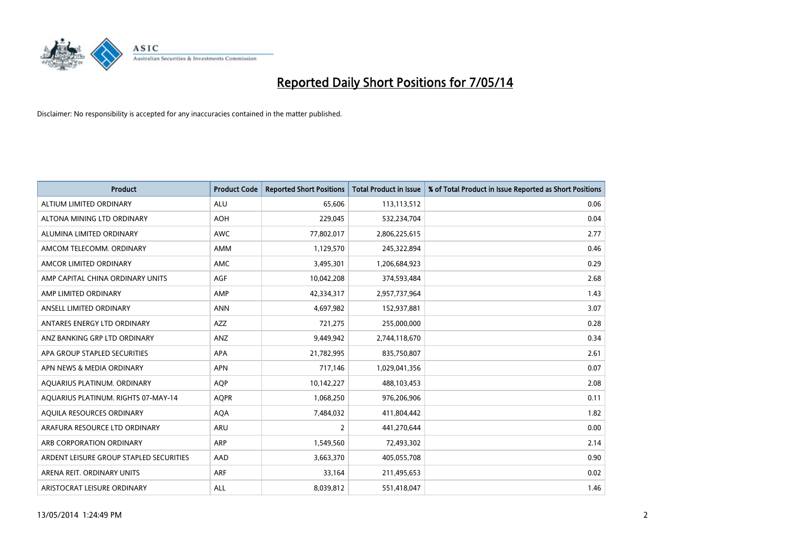

| <b>Product</b>                          | <b>Product Code</b> | <b>Reported Short Positions</b> | <b>Total Product in Issue</b> | % of Total Product in Issue Reported as Short Positions |
|-----------------------------------------|---------------------|---------------------------------|-------------------------------|---------------------------------------------------------|
| ALTIUM LIMITED ORDINARY                 | <b>ALU</b>          | 65,606                          | 113,113,512                   | 0.06                                                    |
| ALTONA MINING LTD ORDINARY              | <b>AOH</b>          | 229,045                         | 532,234,704                   | 0.04                                                    |
| ALUMINA LIMITED ORDINARY                | <b>AWC</b>          | 77,802,017                      | 2,806,225,615                 | 2.77                                                    |
| AMCOM TELECOMM. ORDINARY                | <b>AMM</b>          | 1,129,570                       | 245,322,894                   | 0.46                                                    |
| AMCOR LIMITED ORDINARY                  | AMC                 | 3,495,301                       | 1,206,684,923                 | 0.29                                                    |
| AMP CAPITAL CHINA ORDINARY UNITS        | AGF                 | 10,042,208                      | 374,593,484                   | 2.68                                                    |
| AMP LIMITED ORDINARY                    | AMP                 | 42,334,317                      | 2,957,737,964                 | 1.43                                                    |
| ANSELL LIMITED ORDINARY                 | <b>ANN</b>          | 4,697,982                       | 152,937,881                   | 3.07                                                    |
| ANTARES ENERGY LTD ORDINARY             | AZZ                 | 721,275                         | 255,000,000                   | 0.28                                                    |
| ANZ BANKING GRP LTD ORDINARY            | ANZ                 | 9,449,942                       | 2,744,118,670                 | 0.34                                                    |
| APA GROUP STAPLED SECURITIES            | APA                 | 21,782,995                      | 835,750,807                   | 2.61                                                    |
| APN NEWS & MEDIA ORDINARY               | <b>APN</b>          | 717,146                         | 1,029,041,356                 | 0.07                                                    |
| AQUARIUS PLATINUM. ORDINARY             | <b>AQP</b>          | 10,142,227                      | 488,103,453                   | 2.08                                                    |
| AQUARIUS PLATINUM. RIGHTS 07-MAY-14     | <b>AQPR</b>         | 1,068,250                       | 976,206,906                   | 0.11                                                    |
| AQUILA RESOURCES ORDINARY               | <b>AQA</b>          | 7,484,032                       | 411,804,442                   | 1.82                                                    |
| ARAFURA RESOURCE LTD ORDINARY           | ARU                 | $\overline{2}$                  | 441,270,644                   | 0.00                                                    |
| ARB CORPORATION ORDINARY                | <b>ARP</b>          | 1,549,560                       | 72,493,302                    | 2.14                                                    |
| ARDENT LEISURE GROUP STAPLED SECURITIES | AAD                 | 3,663,370                       | 405,055,708                   | 0.90                                                    |
| ARENA REIT. ORDINARY UNITS              | ARF                 | 33,164                          | 211,495,653                   | 0.02                                                    |
| ARISTOCRAT LEISURE ORDINARY             | ALL                 | 8,039,812                       | 551,418,047                   | 1.46                                                    |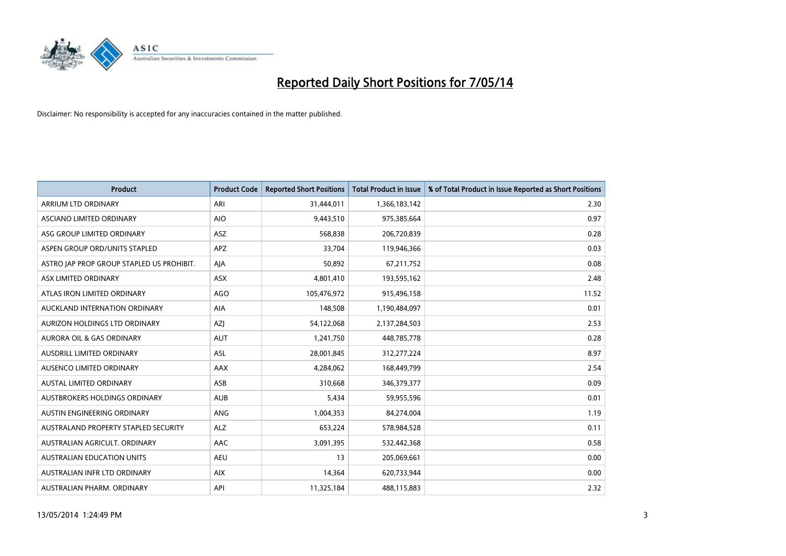

| <b>Product</b>                            | <b>Product Code</b> | <b>Reported Short Positions</b> | <b>Total Product in Issue</b> | % of Total Product in Issue Reported as Short Positions |
|-------------------------------------------|---------------------|---------------------------------|-------------------------------|---------------------------------------------------------|
| <b>ARRIUM LTD ORDINARY</b>                | ARI                 | 31,444,011                      | 1,366,183,142                 | 2.30                                                    |
| ASCIANO LIMITED ORDINARY                  | <b>AIO</b>          | 9,443,510                       | 975,385,664                   | 0.97                                                    |
| ASG GROUP LIMITED ORDINARY                | ASZ                 | 568,838                         | 206,720,839                   | 0.28                                                    |
| ASPEN GROUP ORD/UNITS STAPLED             | <b>APZ</b>          | 33,704                          | 119,946,366                   | 0.03                                                    |
| ASTRO JAP PROP GROUP STAPLED US PROHIBIT. | AJA                 | 50,892                          | 67,211,752                    | 0.08                                                    |
| ASX LIMITED ORDINARY                      | ASX                 | 4,801,410                       | 193,595,162                   | 2.48                                                    |
| ATLAS IRON LIMITED ORDINARY               | <b>AGO</b>          | 105,476,972                     | 915,496,158                   | 11.52                                                   |
| AUCKLAND INTERNATION ORDINARY             | AIA                 | 148,508                         | 1,190,484,097                 | 0.01                                                    |
| AURIZON HOLDINGS LTD ORDINARY             | AZJ                 | 54,122,068                      | 2,137,284,503                 | 2.53                                                    |
| <b>AURORA OIL &amp; GAS ORDINARY</b>      | <b>AUT</b>          | 1,241,750                       | 448,785,778                   | 0.28                                                    |
| AUSDRILL LIMITED ORDINARY                 | ASL                 | 28,001,845                      | 312,277,224                   | 8.97                                                    |
| AUSENCO LIMITED ORDINARY                  | AAX                 | 4,284,062                       | 168,449,799                   | 2.54                                                    |
| AUSTAL LIMITED ORDINARY                   | ASB                 | 310,668                         | 346,379,377                   | 0.09                                                    |
| AUSTBROKERS HOLDINGS ORDINARY             | <b>AUB</b>          | 5,434                           | 59,955,596                    | 0.01                                                    |
| AUSTIN ENGINEERING ORDINARY               | ANG                 | 1,004,353                       | 84,274,004                    | 1.19                                                    |
| AUSTRALAND PROPERTY STAPLED SECURITY      | <b>ALZ</b>          | 653,224                         | 578,984,528                   | 0.11                                                    |
| AUSTRALIAN AGRICULT, ORDINARY             | AAC                 | 3,091,395                       | 532,442,368                   | 0.58                                                    |
| AUSTRALIAN EDUCATION UNITS                | <b>AEU</b>          | 13                              | 205,069,661                   | 0.00                                                    |
| AUSTRALIAN INFR LTD ORDINARY              | <b>AIX</b>          | 14,364                          | 620,733,944                   | 0.00                                                    |
| AUSTRALIAN PHARM. ORDINARY                | API                 | 11,325,184                      | 488,115,883                   | 2.32                                                    |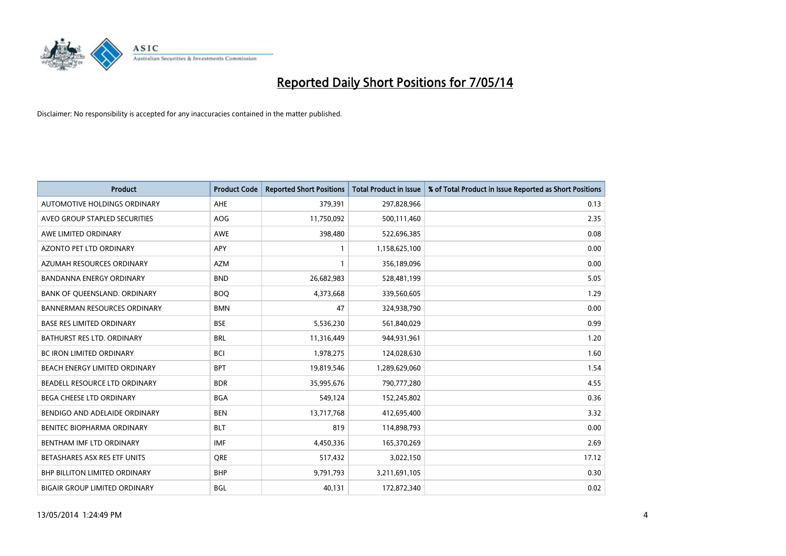

| <b>Product</b>                       | <b>Product Code</b> | <b>Reported Short Positions</b> | <b>Total Product in Issue</b> | % of Total Product in Issue Reported as Short Positions |
|--------------------------------------|---------------------|---------------------------------|-------------------------------|---------------------------------------------------------|
| AUTOMOTIVE HOLDINGS ORDINARY         | AHE                 | 379,391                         | 297,828,966                   | 0.13                                                    |
| AVEO GROUP STAPLED SECURITIES        | AOG                 | 11,750,092                      | 500,111,460                   | 2.35                                                    |
| AWE LIMITED ORDINARY                 | AWE                 | 398,480                         | 522,696,385                   | 0.08                                                    |
| AZONTO PET LTD ORDINARY              | APY                 | 1                               | 1,158,625,100                 | 0.00                                                    |
| AZUMAH RESOURCES ORDINARY            | <b>AZM</b>          | 1                               | 356,189,096                   | 0.00                                                    |
| <b>BANDANNA ENERGY ORDINARY</b>      | <b>BND</b>          | 26,682,983                      | 528,481,199                   | 5.05                                                    |
| BANK OF QUEENSLAND. ORDINARY         | <b>BOO</b>          | 4,373,668                       | 339,560,605                   | 1.29                                                    |
| <b>BANNERMAN RESOURCES ORDINARY</b>  | <b>BMN</b>          | 47                              | 324,938,790                   | 0.00                                                    |
| <b>BASE RES LIMITED ORDINARY</b>     | <b>BSE</b>          | 5,536,230                       | 561,840,029                   | 0.99                                                    |
| <b>BATHURST RES LTD. ORDINARY</b>    | <b>BRL</b>          | 11,316,449                      | 944,931,961                   | 1.20                                                    |
| BC IRON LIMITED ORDINARY             | <b>BCI</b>          | 1,978,275                       | 124,028,630                   | 1.60                                                    |
| BEACH ENERGY LIMITED ORDINARY        | <b>BPT</b>          | 19,819,546                      | 1,289,629,060                 | 1.54                                                    |
| BEADELL RESOURCE LTD ORDINARY        | <b>BDR</b>          | 35,995,676                      | 790,777,280                   | 4.55                                                    |
| <b>BEGA CHEESE LTD ORDINARY</b>      | <b>BGA</b>          | 549,124                         | 152,245,802                   | 0.36                                                    |
| BENDIGO AND ADELAIDE ORDINARY        | <b>BEN</b>          | 13,717,768                      | 412,695,400                   | 3.32                                                    |
| BENITEC BIOPHARMA ORDINARY           | <b>BLT</b>          | 819                             | 114,898,793                   | 0.00                                                    |
| BENTHAM IMF LTD ORDINARY             | IMF                 | 4,450,336                       | 165,370,269                   | 2.69                                                    |
| BETASHARES ASX RES ETF UNITS         | <b>ORE</b>          | 517,432                         | 3,022,150                     | 17.12                                                   |
| <b>BHP BILLITON LIMITED ORDINARY</b> | <b>BHP</b>          | 9,791,793                       | 3,211,691,105                 | 0.30                                                    |
| <b>BIGAIR GROUP LIMITED ORDINARY</b> | <b>BGL</b>          | 40,131                          | 172,872,340                   | 0.02                                                    |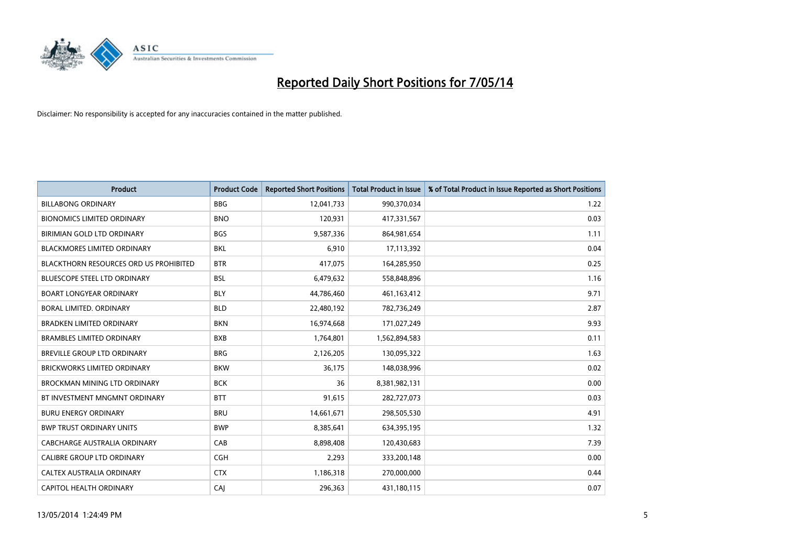

| <b>Product</b>                         | <b>Product Code</b> | <b>Reported Short Positions</b> | <b>Total Product in Issue</b> | % of Total Product in Issue Reported as Short Positions |
|----------------------------------------|---------------------|---------------------------------|-------------------------------|---------------------------------------------------------|
| <b>BILLABONG ORDINARY</b>              | <b>BBG</b>          | 12,041,733                      | 990,370,034                   | 1.22                                                    |
| <b>BIONOMICS LIMITED ORDINARY</b>      | <b>BNO</b>          | 120,931                         | 417,331,567                   | 0.03                                                    |
| BIRIMIAN GOLD LTD ORDINARY             | <b>BGS</b>          | 9,587,336                       | 864,981,654                   | 1.11                                                    |
| <b>BLACKMORES LIMITED ORDINARY</b>     | <b>BKL</b>          | 6,910                           | 17,113,392                    | 0.04                                                    |
| BLACKTHORN RESOURCES ORD US PROHIBITED | <b>BTR</b>          | 417,075                         | 164,285,950                   | 0.25                                                    |
| <b>BLUESCOPE STEEL LTD ORDINARY</b>    | <b>BSL</b>          | 6,479,632                       | 558,848,896                   | 1.16                                                    |
| <b>BOART LONGYEAR ORDINARY</b>         | <b>BLY</b>          | 44,786,460                      | 461,163,412                   | 9.71                                                    |
| <b>BORAL LIMITED, ORDINARY</b>         | <b>BLD</b>          | 22,480,192                      | 782,736,249                   | 2.87                                                    |
| <b>BRADKEN LIMITED ORDINARY</b>        | <b>BKN</b>          | 16,974,668                      | 171,027,249                   | 9.93                                                    |
| <b>BRAMBLES LIMITED ORDINARY</b>       | <b>BXB</b>          | 1,764,801                       | 1,562,894,583                 | 0.11                                                    |
| <b>BREVILLE GROUP LTD ORDINARY</b>     | <b>BRG</b>          | 2,126,205                       | 130,095,322                   | 1.63                                                    |
| <b>BRICKWORKS LIMITED ORDINARY</b>     | <b>BKW</b>          | 36,175                          | 148,038,996                   | 0.02                                                    |
| BROCKMAN MINING LTD ORDINARY           | <b>BCK</b>          | 36                              | 8,381,982,131                 | 0.00                                                    |
| BT INVESTMENT MNGMNT ORDINARY          | <b>BTT</b>          | 91,615                          | 282,727,073                   | 0.03                                                    |
| <b>BURU ENERGY ORDINARY</b>            | <b>BRU</b>          | 14,661,671                      | 298,505,530                   | 4.91                                                    |
| <b>BWP TRUST ORDINARY UNITS</b>        | <b>BWP</b>          | 8,385,641                       | 634,395,195                   | 1.32                                                    |
| <b>CABCHARGE AUSTRALIA ORDINARY</b>    | CAB                 | 8,898,408                       | 120,430,683                   | 7.39                                                    |
| CALIBRE GROUP LTD ORDINARY             | <b>CGH</b>          | 2,293                           | 333,200,148                   | 0.00                                                    |
| CALTEX AUSTRALIA ORDINARY              | <b>CTX</b>          | 1,186,318                       | 270,000,000                   | 0.44                                                    |
| CAPITOL HEALTH ORDINARY                | CAI                 | 296,363                         | 431,180,115                   | 0.07                                                    |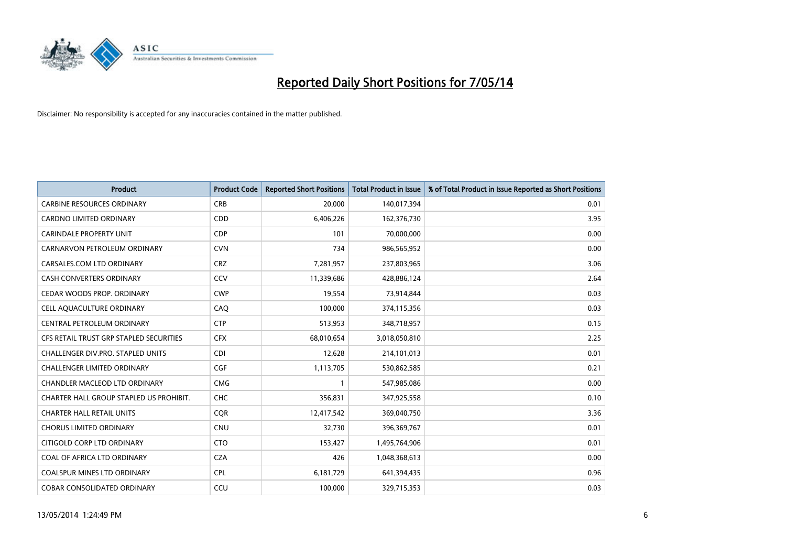

| <b>Product</b>                          | <b>Product Code</b> | <b>Reported Short Positions</b> | <b>Total Product in Issue</b> | % of Total Product in Issue Reported as Short Positions |
|-----------------------------------------|---------------------|---------------------------------|-------------------------------|---------------------------------------------------------|
| <b>CARBINE RESOURCES ORDINARY</b>       | <b>CRB</b>          | 20,000                          | 140,017,394                   | 0.01                                                    |
| CARDNO LIMITED ORDINARY                 | <b>CDD</b>          | 6,406,226                       | 162,376,730                   | 3.95                                                    |
| <b>CARINDALE PROPERTY UNIT</b>          | <b>CDP</b>          | 101                             | 70,000,000                    | 0.00                                                    |
| CARNARVON PETROLEUM ORDINARY            | <b>CVN</b>          | 734                             | 986,565,952                   | 0.00                                                    |
| CARSALES.COM LTD ORDINARY               | <b>CRZ</b>          | 7,281,957                       | 237,803,965                   | 3.06                                                    |
| <b>CASH CONVERTERS ORDINARY</b>         | CCV                 | 11,339,686                      | 428,886,124                   | 2.64                                                    |
| CEDAR WOODS PROP. ORDINARY              | <b>CWP</b>          | 19,554                          | 73,914,844                    | 0.03                                                    |
| CELL AQUACULTURE ORDINARY               | CAQ                 | 100,000                         | 374,115,356                   | 0.03                                                    |
| CENTRAL PETROLEUM ORDINARY              | <b>CTP</b>          | 513,953                         | 348,718,957                   | 0.15                                                    |
| CFS RETAIL TRUST GRP STAPLED SECURITIES | <b>CFX</b>          | 68,010,654                      | 3,018,050,810                 | 2.25                                                    |
| CHALLENGER DIV.PRO. STAPLED UNITS       | <b>CDI</b>          | 12,628                          | 214,101,013                   | 0.01                                                    |
| <b>CHALLENGER LIMITED ORDINARY</b>      | <b>CGF</b>          | 1,113,705                       | 530,862,585                   | 0.21                                                    |
| CHANDLER MACLEOD LTD ORDINARY           | <b>CMG</b>          | $\mathbf{1}$                    | 547,985,086                   | 0.00                                                    |
| CHARTER HALL GROUP STAPLED US PROHIBIT. | <b>CHC</b>          | 356,831                         | 347,925,558                   | 0.10                                                    |
| <b>CHARTER HALL RETAIL UNITS</b>        | CQR                 | 12,417,542                      | 369,040,750                   | 3.36                                                    |
| <b>CHORUS LIMITED ORDINARY</b>          | <b>CNU</b>          | 32,730                          | 396,369,767                   | 0.01                                                    |
| CITIGOLD CORP LTD ORDINARY              | <b>CTO</b>          | 153,427                         | 1,495,764,906                 | 0.01                                                    |
| COAL OF AFRICA LTD ORDINARY             | <b>CZA</b>          | 426                             | 1,048,368,613                 | 0.00                                                    |
| <b>COALSPUR MINES LTD ORDINARY</b>      | <b>CPL</b>          | 6,181,729                       | 641,394,435                   | 0.96                                                    |
| <b>COBAR CONSOLIDATED ORDINARY</b>      | CCU                 | 100,000                         | 329,715,353                   | 0.03                                                    |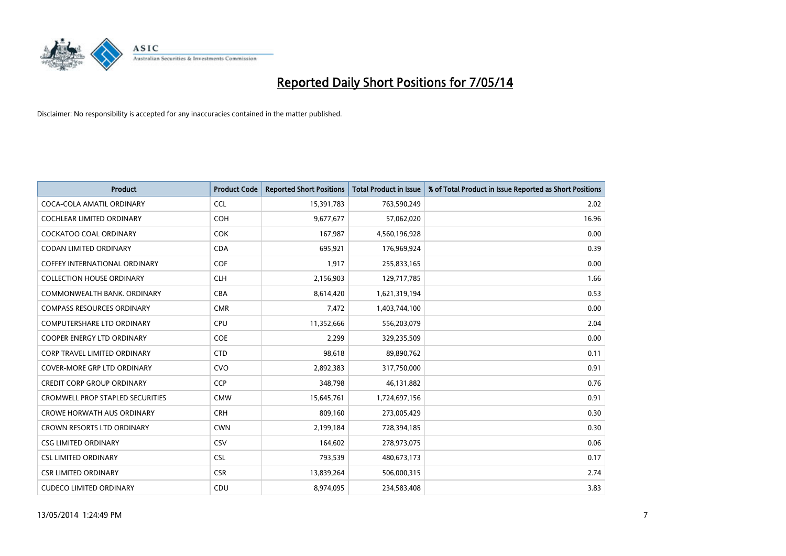

| <b>Product</b>                          | <b>Product Code</b> | <b>Reported Short Positions</b> | <b>Total Product in Issue</b> | % of Total Product in Issue Reported as Short Positions |
|-----------------------------------------|---------------------|---------------------------------|-------------------------------|---------------------------------------------------------|
| COCA-COLA AMATIL ORDINARY               | <b>CCL</b>          | 15,391,783                      | 763,590,249                   | 2.02                                                    |
| COCHLEAR LIMITED ORDINARY               | <b>COH</b>          | 9,677,677                       | 57,062,020                    | 16.96                                                   |
| <b>COCKATOO COAL ORDINARY</b>           | <b>COK</b>          | 167,987                         | 4,560,196,928                 | 0.00                                                    |
| <b>CODAN LIMITED ORDINARY</b>           | <b>CDA</b>          | 695,921                         | 176,969,924                   | 0.39                                                    |
| COFFEY INTERNATIONAL ORDINARY           | <b>COF</b>          | 1,917                           | 255,833,165                   | 0.00                                                    |
| <b>COLLECTION HOUSE ORDINARY</b>        | <b>CLH</b>          | 2,156,903                       | 129,717,785                   | 1.66                                                    |
| COMMONWEALTH BANK, ORDINARY             | <b>CBA</b>          | 8,614,420                       | 1,621,319,194                 | 0.53                                                    |
| <b>COMPASS RESOURCES ORDINARY</b>       | <b>CMR</b>          | 7,472                           | 1,403,744,100                 | 0.00                                                    |
| <b>COMPUTERSHARE LTD ORDINARY</b>       | <b>CPU</b>          | 11,352,666                      | 556,203,079                   | 2.04                                                    |
| <b>COOPER ENERGY LTD ORDINARY</b>       | <b>COE</b>          | 2,299                           | 329,235,509                   | 0.00                                                    |
| CORP TRAVEL LIMITED ORDINARY            | <b>CTD</b>          | 98,618                          | 89,890,762                    | 0.11                                                    |
| <b>COVER-MORE GRP LTD ORDINARY</b>      | <b>CVO</b>          | 2,892,383                       | 317,750,000                   | 0.91                                                    |
| <b>CREDIT CORP GROUP ORDINARY</b>       | <b>CCP</b>          | 348,798                         | 46,131,882                    | 0.76                                                    |
| <b>CROMWELL PROP STAPLED SECURITIES</b> | <b>CMW</b>          | 15,645,761                      | 1,724,697,156                 | 0.91                                                    |
| <b>CROWE HORWATH AUS ORDINARY</b>       | <b>CRH</b>          | 809,160                         | 273,005,429                   | 0.30                                                    |
| CROWN RESORTS LTD ORDINARY              | <b>CWN</b>          | 2,199,184                       | 728,394,185                   | 0.30                                                    |
| <b>CSG LIMITED ORDINARY</b>             | CSV                 | 164,602                         | 278,973,075                   | 0.06                                                    |
| <b>CSL LIMITED ORDINARY</b>             | <b>CSL</b>          | 793,539                         | 480,673,173                   | 0.17                                                    |
| <b>CSR LIMITED ORDINARY</b>             | <b>CSR</b>          | 13,839,264                      | 506,000,315                   | 2.74                                                    |
| <b>CUDECO LIMITED ORDINARY</b>          | CDU                 | 8,974,095                       | 234,583,408                   | 3.83                                                    |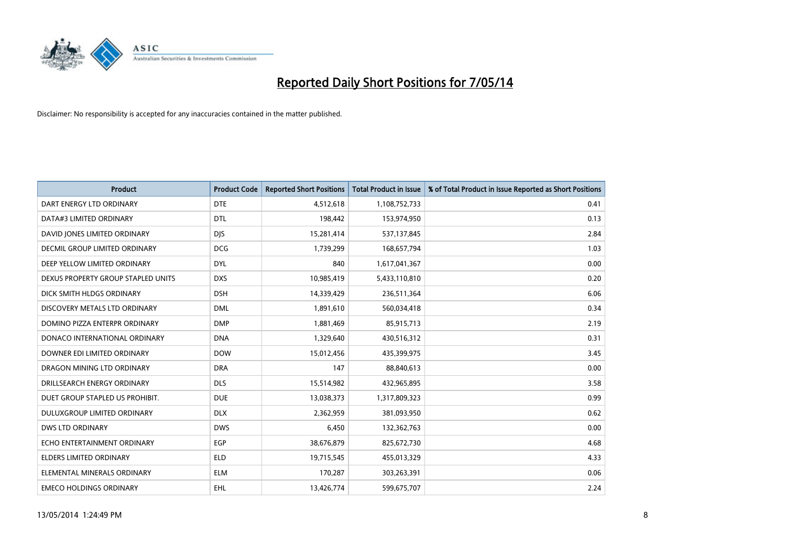

| <b>Product</b>                       | <b>Product Code</b> | <b>Reported Short Positions</b> | <b>Total Product in Issue</b> | % of Total Product in Issue Reported as Short Positions |
|--------------------------------------|---------------------|---------------------------------|-------------------------------|---------------------------------------------------------|
| DART ENERGY LTD ORDINARY             | <b>DTE</b>          | 4,512,618                       | 1,108,752,733                 | 0.41                                                    |
| DATA#3 LIMITED ORDINARY              | <b>DTL</b>          | 198,442                         | 153,974,950                   | 0.13                                                    |
| DAVID JONES LIMITED ORDINARY         | <b>DJS</b>          | 15,281,414                      | 537,137,845                   | 2.84                                                    |
| <b>DECMIL GROUP LIMITED ORDINARY</b> | <b>DCG</b>          | 1,739,299                       | 168,657,794                   | 1.03                                                    |
| DEEP YELLOW LIMITED ORDINARY         | <b>DYL</b>          | 840                             | 1,617,041,367                 | 0.00                                                    |
| DEXUS PROPERTY GROUP STAPLED UNITS   | <b>DXS</b>          | 10,985,419                      | 5,433,110,810                 | 0.20                                                    |
| DICK SMITH HLDGS ORDINARY            | <b>DSH</b>          | 14,339,429                      | 236,511,364                   | 6.06                                                    |
| DISCOVERY METALS LTD ORDINARY        | <b>DML</b>          | 1,891,610                       | 560,034,418                   | 0.34                                                    |
| DOMINO PIZZA ENTERPR ORDINARY        | <b>DMP</b>          | 1,881,469                       | 85,915,713                    | 2.19                                                    |
| DONACO INTERNATIONAL ORDINARY        | <b>DNA</b>          | 1,329,640                       | 430,516,312                   | 0.31                                                    |
| DOWNER EDI LIMITED ORDINARY          | <b>DOW</b>          | 15,012,456                      | 435,399,975                   | 3.45                                                    |
| DRAGON MINING LTD ORDINARY           | <b>DRA</b>          | 147                             | 88,840,613                    | 0.00                                                    |
| DRILLSEARCH ENERGY ORDINARY          | <b>DLS</b>          | 15,514,982                      | 432,965,895                   | 3.58                                                    |
| DUET GROUP STAPLED US PROHIBIT.      | <b>DUE</b>          | 13,038,373                      | 1,317,809,323                 | 0.99                                                    |
| DULUXGROUP LIMITED ORDINARY          | <b>DLX</b>          | 2,362,959                       | 381,093,950                   | 0.62                                                    |
| <b>DWS LTD ORDINARY</b>              | <b>DWS</b>          | 6,450                           | 132,362,763                   | 0.00                                                    |
| ECHO ENTERTAINMENT ORDINARY          | <b>EGP</b>          | 38,676,879                      | 825,672,730                   | 4.68                                                    |
| <b>ELDERS LIMITED ORDINARY</b>       | <b>ELD</b>          | 19,715,545                      | 455,013,329                   | 4.33                                                    |
| ELEMENTAL MINERALS ORDINARY          | <b>ELM</b>          | 170,287                         | 303,263,391                   | 0.06                                                    |
| <b>EMECO HOLDINGS ORDINARY</b>       | <b>EHL</b>          | 13,426,774                      | 599,675,707                   | 2.24                                                    |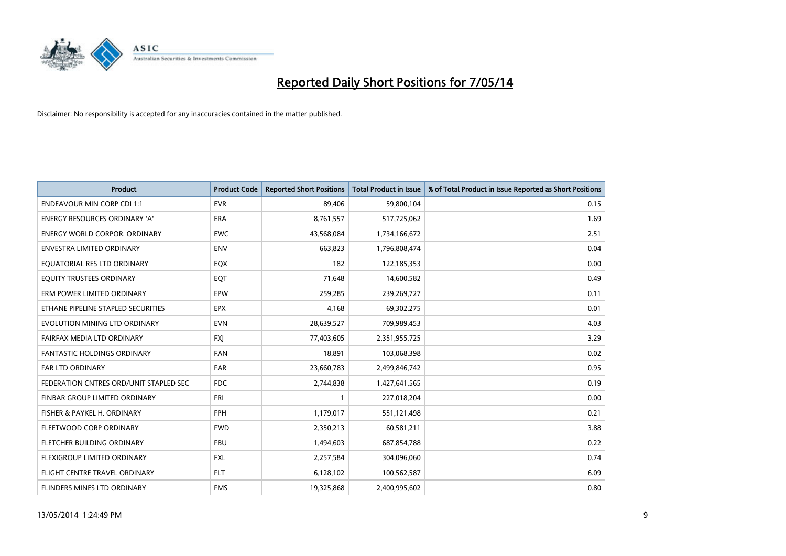

| <b>Product</b>                         | <b>Product Code</b> | <b>Reported Short Positions</b> | <b>Total Product in Issue</b> | % of Total Product in Issue Reported as Short Positions |
|----------------------------------------|---------------------|---------------------------------|-------------------------------|---------------------------------------------------------|
| <b>ENDEAVOUR MIN CORP CDI 1:1</b>      | <b>EVR</b>          | 89,406                          | 59,800,104                    | 0.15                                                    |
| ENERGY RESOURCES ORDINARY 'A'          | ERA                 | 8,761,557                       | 517,725,062                   | 1.69                                                    |
| <b>ENERGY WORLD CORPOR, ORDINARY</b>   | <b>EWC</b>          | 43,568,084                      | 1,734,166,672                 | 2.51                                                    |
| ENVESTRA LIMITED ORDINARY              | <b>ENV</b>          | 663,823                         | 1,796,808,474                 | 0.04                                                    |
| EQUATORIAL RES LTD ORDINARY            | EQX                 | 182                             | 122,185,353                   | 0.00                                                    |
| EQUITY TRUSTEES ORDINARY               | EQT                 | 71,648                          | 14,600,582                    | 0.49                                                    |
| ERM POWER LIMITED ORDINARY             | <b>EPW</b>          | 259,285                         | 239,269,727                   | 0.11                                                    |
| ETHANE PIPELINE STAPLED SECURITIES     | <b>EPX</b>          | 4,168                           | 69,302,275                    | 0.01                                                    |
| EVOLUTION MINING LTD ORDINARY          | <b>EVN</b>          | 28,639,527                      | 709,989,453                   | 4.03                                                    |
| FAIRFAX MEDIA LTD ORDINARY             | <b>FXI</b>          | 77,403,605                      | 2,351,955,725                 | 3.29                                                    |
| FANTASTIC HOLDINGS ORDINARY            | <b>FAN</b>          | 18,891                          | 103,068,398                   | 0.02                                                    |
| <b>FAR LTD ORDINARY</b>                | <b>FAR</b>          | 23,660,783                      | 2,499,846,742                 | 0.95                                                    |
| FEDERATION CNTRES ORD/UNIT STAPLED SEC | <b>FDC</b>          | 2,744,838                       | 1,427,641,565                 | 0.19                                                    |
| FINBAR GROUP LIMITED ORDINARY          | <b>FRI</b>          | 1                               | 227,018,204                   | 0.00                                                    |
| FISHER & PAYKEL H. ORDINARY            | <b>FPH</b>          | 1,179,017                       | 551,121,498                   | 0.21                                                    |
| FLEETWOOD CORP ORDINARY                | <b>FWD</b>          | 2,350,213                       | 60,581,211                    | 3.88                                                    |
| FLETCHER BUILDING ORDINARY             | <b>FBU</b>          | 1,494,603                       | 687,854,788                   | 0.22                                                    |
| FLEXIGROUP LIMITED ORDINARY            | <b>FXL</b>          | 2,257,584                       | 304,096,060                   | 0.74                                                    |
| FLIGHT CENTRE TRAVEL ORDINARY          | <b>FLT</b>          | 6,128,102                       | 100,562,587                   | 6.09                                                    |
| FLINDERS MINES LTD ORDINARY            | <b>FMS</b>          | 19,325,868                      | 2,400,995,602                 | 0.80                                                    |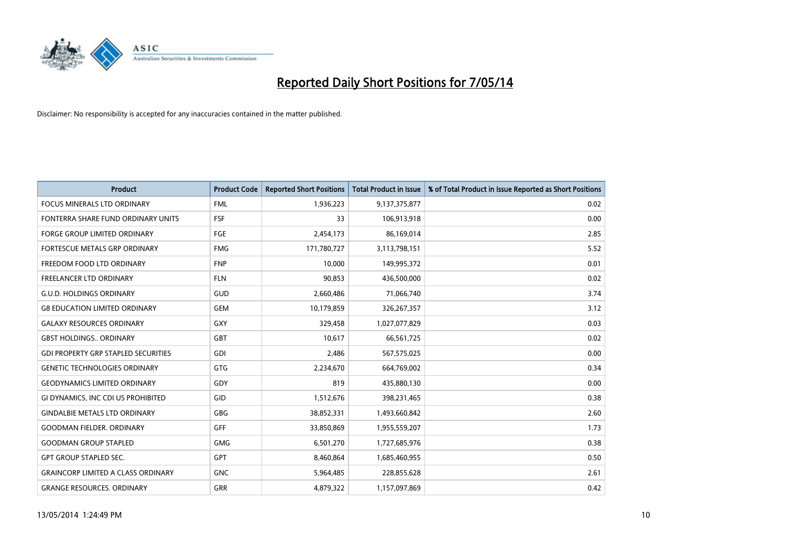

| <b>Product</b>                             | <b>Product Code</b> | <b>Reported Short Positions</b> | <b>Total Product in Issue</b> | % of Total Product in Issue Reported as Short Positions |
|--------------------------------------------|---------------------|---------------------------------|-------------------------------|---------------------------------------------------------|
| <b>FOCUS MINERALS LTD ORDINARY</b>         | <b>FML</b>          | 1,936,223                       | 9,137,375,877                 | 0.02                                                    |
| FONTERRA SHARE FUND ORDINARY UNITS         | <b>FSF</b>          | 33                              | 106,913,918                   | 0.00                                                    |
| <b>FORGE GROUP LIMITED ORDINARY</b>        | FGE                 | 2,454,173                       | 86,169,014                    | 2.85                                                    |
| FORTESCUE METALS GRP ORDINARY              | <b>FMG</b>          | 171,780,727                     | 3,113,798,151                 | 5.52                                                    |
| FREEDOM FOOD LTD ORDINARY                  | <b>FNP</b>          | 10,000                          | 149,995,372                   | 0.01                                                    |
| <b>FREELANCER LTD ORDINARY</b>             | <b>FLN</b>          | 90,853                          | 436,500,000                   | 0.02                                                    |
| <b>G.U.D. HOLDINGS ORDINARY</b>            | GUD                 | 2,660,486                       | 71,066,740                    | 3.74                                                    |
| <b>G8 EDUCATION LIMITED ORDINARY</b>       | <b>GEM</b>          | 10,179,859                      | 326,267,357                   | 3.12                                                    |
| <b>GALAXY RESOURCES ORDINARY</b>           | GXY                 | 329,458                         | 1,027,077,829                 | 0.03                                                    |
| <b>GBST HOLDINGS., ORDINARY</b>            | GBT                 | 10,617                          | 66,561,725                    | 0.02                                                    |
| <b>GDI PROPERTY GRP STAPLED SECURITIES</b> | GDI                 | 2,486                           | 567,575,025                   | 0.00                                                    |
| <b>GENETIC TECHNOLOGIES ORDINARY</b>       | GTG                 | 2,234,670                       | 664,769,002                   | 0.34                                                    |
| <b>GEODYNAMICS LIMITED ORDINARY</b>        | GDY                 | 819                             | 435,880,130                   | 0.00                                                    |
| GI DYNAMICS, INC CDI US PROHIBITED         | GID                 | 1,512,676                       | 398,231,465                   | 0.38                                                    |
| <b>GINDALBIE METALS LTD ORDINARY</b>       | GBG                 | 38,852,331                      | 1,493,660,842                 | 2.60                                                    |
| <b>GOODMAN FIELDER. ORDINARY</b>           | <b>GFF</b>          | 33,850,869                      | 1,955,559,207                 | 1.73                                                    |
| <b>GOODMAN GROUP STAPLED</b>               | GMG                 | 6,501,270                       | 1,727,685,976                 | 0.38                                                    |
| <b>GPT GROUP STAPLED SEC.</b>              | <b>GPT</b>          | 8,460,864                       | 1,685,460,955                 | 0.50                                                    |
| <b>GRAINCORP LIMITED A CLASS ORDINARY</b>  | <b>GNC</b>          | 5,964,485                       | 228,855,628                   | 2.61                                                    |
| <b>GRANGE RESOURCES. ORDINARY</b>          | GRR                 | 4,879,322                       | 1,157,097,869                 | 0.42                                                    |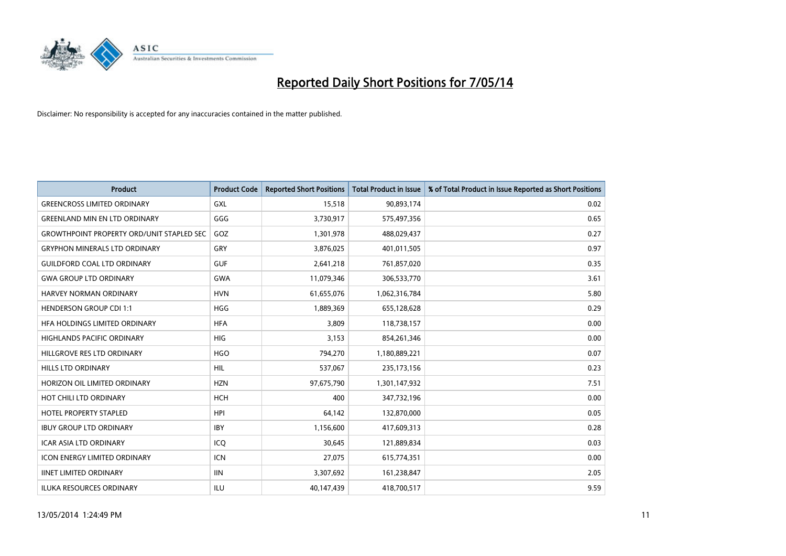

| <b>Product</b>                                   | <b>Product Code</b> | <b>Reported Short Positions</b> | <b>Total Product in Issue</b> | % of Total Product in Issue Reported as Short Positions |
|--------------------------------------------------|---------------------|---------------------------------|-------------------------------|---------------------------------------------------------|
| <b>GREENCROSS LIMITED ORDINARY</b>               | <b>GXL</b>          | 15,518                          | 90,893,174                    | 0.02                                                    |
| <b>GREENLAND MIN EN LTD ORDINARY</b>             | GGG                 | 3,730,917                       | 575,497,356                   | 0.65                                                    |
| <b>GROWTHPOINT PROPERTY ORD/UNIT STAPLED SEC</b> | GOZ                 | 1,301,978                       | 488,029,437                   | 0.27                                                    |
| <b>GRYPHON MINERALS LTD ORDINARY</b>             | GRY                 | 3,876,025                       | 401,011,505                   | 0.97                                                    |
| <b>GUILDFORD COAL LTD ORDINARY</b>               | <b>GUF</b>          | 2,641,218                       | 761,857,020                   | 0.35                                                    |
| <b>GWA GROUP LTD ORDINARY</b>                    | <b>GWA</b>          | 11,079,346                      | 306,533,770                   | 3.61                                                    |
| HARVEY NORMAN ORDINARY                           | <b>HVN</b>          | 61,655,076                      | 1,062,316,784                 | 5.80                                                    |
| <b>HENDERSON GROUP CDI 1:1</b>                   | <b>HGG</b>          | 1,889,369                       | 655,128,628                   | 0.29                                                    |
| HFA HOLDINGS LIMITED ORDINARY                    | <b>HFA</b>          | 3,809                           | 118,738,157                   | 0.00                                                    |
| <b>HIGHLANDS PACIFIC ORDINARY</b>                | <b>HIG</b>          | 3,153                           | 854,261,346                   | 0.00                                                    |
| HILLGROVE RES LTD ORDINARY                       | <b>HGO</b>          | 794,270                         | 1,180,889,221                 | 0.07                                                    |
| <b>HILLS LTD ORDINARY</b>                        | <b>HIL</b>          | 537,067                         | 235,173,156                   | 0.23                                                    |
| HORIZON OIL LIMITED ORDINARY                     | <b>HZN</b>          | 97,675,790                      | 1,301,147,932                 | 7.51                                                    |
| HOT CHILI LTD ORDINARY                           | <b>HCH</b>          | 400                             | 347,732,196                   | 0.00                                                    |
| <b>HOTEL PROPERTY STAPLED</b>                    | <b>HPI</b>          | 64,142                          | 132,870,000                   | 0.05                                                    |
| <b>IBUY GROUP LTD ORDINARY</b>                   | <b>IBY</b>          | 1,156,600                       | 417,609,313                   | 0.28                                                    |
| <b>ICAR ASIA LTD ORDINARY</b>                    | ICQ                 | 30,645                          | 121,889,834                   | 0.03                                                    |
| <b>ICON ENERGY LIMITED ORDINARY</b>              | <b>ICN</b>          | 27,075                          | 615,774,351                   | 0.00                                                    |
| <b>IINET LIMITED ORDINARY</b>                    | <b>IIN</b>          | 3,307,692                       | 161,238,847                   | 2.05                                                    |
| <b>ILUKA RESOURCES ORDINARY</b>                  | ILU                 | 40,147,439                      | 418,700,517                   | 9.59                                                    |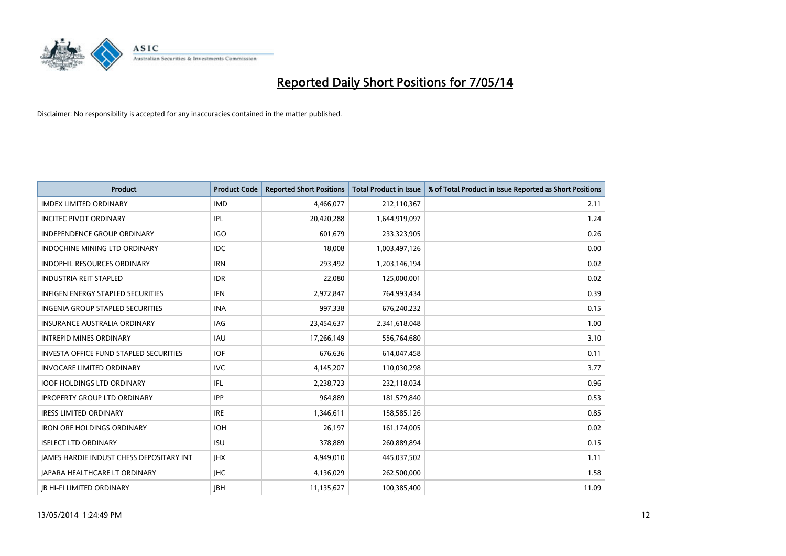

| <b>Product</b>                                  | <b>Product Code</b> | <b>Reported Short Positions</b> | <b>Total Product in Issue</b> | % of Total Product in Issue Reported as Short Positions |
|-------------------------------------------------|---------------------|---------------------------------|-------------------------------|---------------------------------------------------------|
| <b>IMDEX LIMITED ORDINARY</b>                   | <b>IMD</b>          | 4,466,077                       | 212,110,367                   | 2.11                                                    |
| <b>INCITEC PIVOT ORDINARY</b>                   | IPL                 | 20,420,288                      | 1,644,919,097                 | 1.24                                                    |
| <b>INDEPENDENCE GROUP ORDINARY</b>              | <b>IGO</b>          | 601,679                         | 233,323,905                   | 0.26                                                    |
| <b>INDOCHINE MINING LTD ORDINARY</b>            | <b>IDC</b>          | 18,008                          | 1,003,497,126                 | 0.00                                                    |
| <b>INDOPHIL RESOURCES ORDINARY</b>              | <b>IRN</b>          | 293,492                         | 1,203,146,194                 | 0.02                                                    |
| <b>INDUSTRIA REIT STAPLED</b>                   | <b>IDR</b>          | 22,080                          | 125,000,001                   | 0.02                                                    |
| <b>INFIGEN ENERGY STAPLED SECURITIES</b>        | <b>IFN</b>          | 2,972,847                       | 764,993,434                   | 0.39                                                    |
| INGENIA GROUP STAPLED SECURITIES                | <b>INA</b>          | 997,338                         | 676,240,232                   | 0.15                                                    |
| <b>INSURANCE AUSTRALIA ORDINARY</b>             | IAG                 | 23,454,637                      | 2,341,618,048                 | 1.00                                                    |
| <b>INTREPID MINES ORDINARY</b>                  | <b>IAU</b>          | 17,266,149                      | 556,764,680                   | 3.10                                                    |
| <b>INVESTA OFFICE FUND STAPLED SECURITIES</b>   | <b>IOF</b>          | 676,636                         | 614,047,458                   | 0.11                                                    |
| <b>INVOCARE LIMITED ORDINARY</b>                | <b>IVC</b>          | 4,145,207                       | 110,030,298                   | 3.77                                                    |
| <b>IOOF HOLDINGS LTD ORDINARY</b>               | IFL                 | 2,238,723                       | 232,118,034                   | 0.96                                                    |
| <b>IPROPERTY GROUP LTD ORDINARY</b>             | IPP                 | 964,889                         | 181,579,840                   | 0.53                                                    |
| <b>IRESS LIMITED ORDINARY</b>                   | <b>IRE</b>          | 1,346,611                       | 158,585,126                   | 0.85                                                    |
| <b>IRON ORE HOLDINGS ORDINARY</b>               | <b>IOH</b>          | 26,197                          | 161,174,005                   | 0.02                                                    |
| <b>ISELECT LTD ORDINARY</b>                     | <b>ISU</b>          | 378,889                         | 260,889,894                   | 0.15                                                    |
| <b>JAMES HARDIE INDUST CHESS DEPOSITARY INT</b> | <b>JHX</b>          | 4,949,010                       | 445,037,502                   | 1.11                                                    |
| <b>JAPARA HEALTHCARE LT ORDINARY</b>            | <b>IHC</b>          | 4,136,029                       | 262,500,000                   | 1.58                                                    |
| <b>IB HI-FI LIMITED ORDINARY</b>                | <b>JBH</b>          | 11,135,627                      | 100,385,400                   | 11.09                                                   |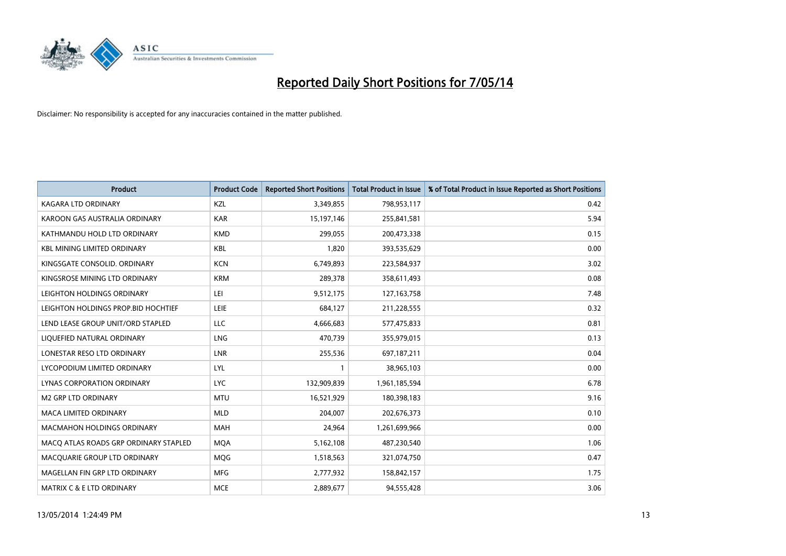

| <b>Product</b>                        | <b>Product Code</b> | <b>Reported Short Positions</b> | <b>Total Product in Issue</b> | % of Total Product in Issue Reported as Short Positions |
|---------------------------------------|---------------------|---------------------------------|-------------------------------|---------------------------------------------------------|
| <b>KAGARA LTD ORDINARY</b>            | KZL                 | 3,349,855                       | 798,953,117                   | 0.42                                                    |
| KAROON GAS AUSTRALIA ORDINARY         | <b>KAR</b>          | 15,197,146                      | 255,841,581                   | 5.94                                                    |
| KATHMANDU HOLD LTD ORDINARY           | <b>KMD</b>          | 299,055                         | 200,473,338                   | 0.15                                                    |
| <b>KBL MINING LIMITED ORDINARY</b>    | <b>KBL</b>          | 1,820                           | 393,535,629                   | 0.00                                                    |
| KINGSGATE CONSOLID. ORDINARY          | <b>KCN</b>          | 6,749,893                       | 223,584,937                   | 3.02                                                    |
| KINGSROSE MINING LTD ORDINARY         | <b>KRM</b>          | 289,378                         | 358,611,493                   | 0.08                                                    |
| LEIGHTON HOLDINGS ORDINARY            | LEI                 | 9,512,175                       | 127, 163, 758                 | 7.48                                                    |
| LEIGHTON HOLDINGS PROP.BID HOCHTIEF   | LEIE                | 684,127                         | 211,228,555                   | 0.32                                                    |
| LEND LEASE GROUP UNIT/ORD STAPLED     | <b>LLC</b>          | 4,666,683                       | 577,475,833                   | 0.81                                                    |
| LIQUEFIED NATURAL ORDINARY            | <b>LNG</b>          | 470,739                         | 355,979,015                   | 0.13                                                    |
| LONESTAR RESO LTD ORDINARY            | <b>LNR</b>          | 255,536                         | 697,187,211                   | 0.04                                                    |
| LYCOPODIUM LIMITED ORDINARY           | LYL                 | 1                               | 38,965,103                    | 0.00                                                    |
| LYNAS CORPORATION ORDINARY            | <b>LYC</b>          | 132,909,839                     | 1,961,185,594                 | 6.78                                                    |
| <b>M2 GRP LTD ORDINARY</b>            | <b>MTU</b>          | 16,521,929                      | 180,398,183                   | 9.16                                                    |
| <b>MACA LIMITED ORDINARY</b>          | <b>MLD</b>          | 204,007                         | 202,676,373                   | 0.10                                                    |
| MACMAHON HOLDINGS ORDINARY            | MAH                 | 24,964                          | 1,261,699,966                 | 0.00                                                    |
| MACO ATLAS ROADS GRP ORDINARY STAPLED | <b>MQA</b>          | 5,162,108                       | 487,230,540                   | 1.06                                                    |
| MACQUARIE GROUP LTD ORDINARY          | MQG                 | 1,518,563                       | 321,074,750                   | 0.47                                                    |
| MAGELLAN FIN GRP LTD ORDINARY         | <b>MFG</b>          | 2,777,932                       | 158,842,157                   | 1.75                                                    |
| <b>MATRIX C &amp; E LTD ORDINARY</b>  | <b>MCE</b>          | 2,889,677                       | 94,555,428                    | 3.06                                                    |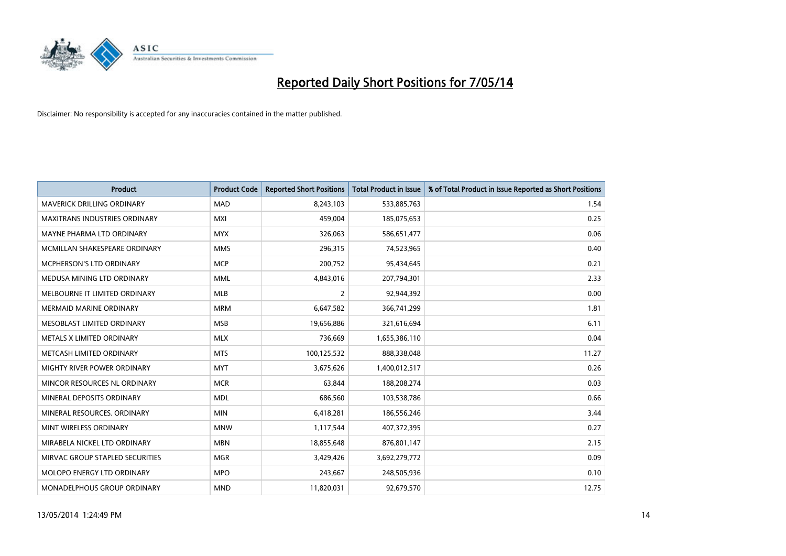

| <b>Product</b>                    | <b>Product Code</b> | <b>Reported Short Positions</b> | <b>Total Product in Issue</b> | % of Total Product in Issue Reported as Short Positions |
|-----------------------------------|---------------------|---------------------------------|-------------------------------|---------------------------------------------------------|
| <b>MAVERICK DRILLING ORDINARY</b> | <b>MAD</b>          | 8,243,103                       | 533,885,763                   | 1.54                                                    |
| MAXITRANS INDUSTRIES ORDINARY     | <b>MXI</b>          | 459,004                         | 185,075,653                   | 0.25                                                    |
| MAYNE PHARMA LTD ORDINARY         | <b>MYX</b>          | 326,063                         | 586,651,477                   | 0.06                                                    |
| MCMILLAN SHAKESPEARE ORDINARY     | <b>MMS</b>          | 296,315                         | 74,523,965                    | 0.40                                                    |
| MCPHERSON'S LTD ORDINARY          | <b>MCP</b>          | 200,752                         | 95,434,645                    | 0.21                                                    |
| MEDUSA MINING LTD ORDINARY        | <b>MML</b>          | 4,843,016                       | 207,794,301                   | 2.33                                                    |
| MELBOURNE IT LIMITED ORDINARY     | <b>MLB</b>          | $\overline{2}$                  | 92,944,392                    | 0.00                                                    |
| MERMAID MARINE ORDINARY           | <b>MRM</b>          | 6,647,582                       | 366,741,299                   | 1.81                                                    |
| MESOBLAST LIMITED ORDINARY        | <b>MSB</b>          | 19,656,886                      | 321,616,694                   | 6.11                                                    |
| METALS X LIMITED ORDINARY         | <b>MLX</b>          | 736,669                         | 1,655,386,110                 | 0.04                                                    |
| METCASH LIMITED ORDINARY          | <b>MTS</b>          | 100,125,532                     | 888,338,048                   | 11.27                                                   |
| MIGHTY RIVER POWER ORDINARY       | <b>MYT</b>          | 3,675,626                       | 1,400,012,517                 | 0.26                                                    |
| MINCOR RESOURCES NL ORDINARY      | <b>MCR</b>          | 63,844                          | 188,208,274                   | 0.03                                                    |
| MINERAL DEPOSITS ORDINARY         | <b>MDL</b>          | 686,560                         | 103,538,786                   | 0.66                                                    |
| MINERAL RESOURCES, ORDINARY       | <b>MIN</b>          | 6,418,281                       | 186,556,246                   | 3.44                                                    |
| MINT WIRELESS ORDINARY            | <b>MNW</b>          | 1,117,544                       | 407,372,395                   | 0.27                                                    |
| MIRABELA NICKEL LTD ORDINARY      | <b>MBN</b>          | 18,855,648                      | 876,801,147                   | 2.15                                                    |
| MIRVAC GROUP STAPLED SECURITIES   | <b>MGR</b>          | 3,429,426                       | 3,692,279,772                 | 0.09                                                    |
| MOLOPO ENERGY LTD ORDINARY        | <b>MPO</b>          | 243,667                         | 248,505,936                   | 0.10                                                    |
| MONADELPHOUS GROUP ORDINARY       | <b>MND</b>          | 11,820,031                      | 92,679,570                    | 12.75                                                   |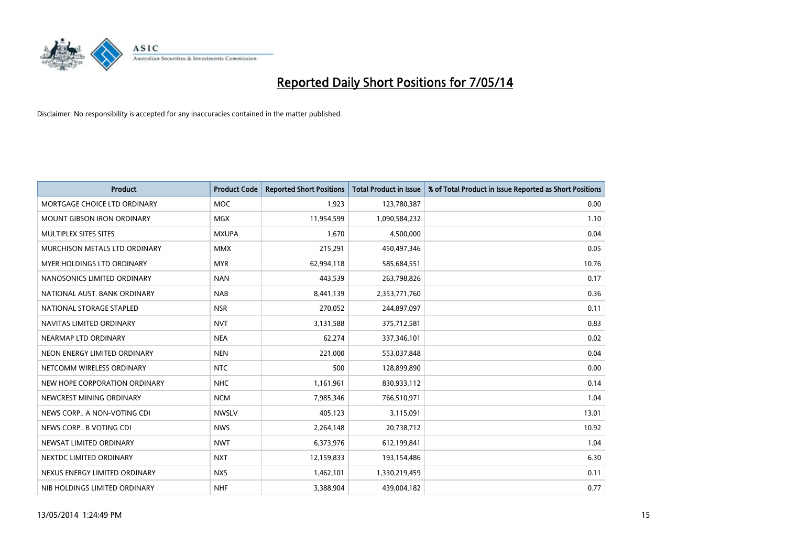

| <b>Product</b>                    | <b>Product Code</b> | <b>Reported Short Positions</b> | <b>Total Product in Issue</b> | % of Total Product in Issue Reported as Short Positions |
|-----------------------------------|---------------------|---------------------------------|-------------------------------|---------------------------------------------------------|
| MORTGAGE CHOICE LTD ORDINARY      | <b>MOC</b>          | 1,923                           | 123,780,387                   | 0.00                                                    |
| <b>MOUNT GIBSON IRON ORDINARY</b> | <b>MGX</b>          | 11,954,599                      | 1,090,584,232                 | 1.10                                                    |
| MULTIPLEX SITES SITES             | <b>MXUPA</b>        | 1,670                           | 4,500,000                     | 0.04                                                    |
| MURCHISON METALS LTD ORDINARY     | <b>MMX</b>          | 215,291                         | 450,497,346                   | 0.05                                                    |
| <b>MYER HOLDINGS LTD ORDINARY</b> | <b>MYR</b>          | 62,994,118                      | 585,684,551                   | 10.76                                                   |
| NANOSONICS LIMITED ORDINARY       | <b>NAN</b>          | 443,539                         | 263,798,826                   | 0.17                                                    |
| NATIONAL AUST, BANK ORDINARY      | <b>NAB</b>          | 8,441,139                       | 2,353,771,760                 | 0.36                                                    |
| NATIONAL STORAGE STAPLED          | <b>NSR</b>          | 270,052                         | 244,897,097                   | 0.11                                                    |
| NAVITAS LIMITED ORDINARY          | <b>NVT</b>          | 3,131,588                       | 375,712,581                   | 0.83                                                    |
| NEARMAP LTD ORDINARY              | <b>NEA</b>          | 62,274                          | 337,346,101                   | 0.02                                                    |
| NEON ENERGY LIMITED ORDINARY      | <b>NEN</b>          | 221,000                         | 553,037,848                   | 0.04                                                    |
| NETCOMM WIRELESS ORDINARY         | <b>NTC</b>          | 500                             | 128,899,890                   | 0.00                                                    |
| NEW HOPE CORPORATION ORDINARY     | <b>NHC</b>          | 1,161,961                       | 830,933,112                   | 0.14                                                    |
| NEWCREST MINING ORDINARY          | <b>NCM</b>          | 7,985,346                       | 766,510,971                   | 1.04                                                    |
| NEWS CORP A NON-VOTING CDI        | <b>NWSLV</b>        | 405,123                         | 3,115,091                     | 13.01                                                   |
| NEWS CORP B VOTING CDI            | <b>NWS</b>          | 2,264,148                       | 20,738,712                    | 10.92                                                   |
| NEWSAT LIMITED ORDINARY           | <b>NWT</b>          | 6,373,976                       | 612,199,841                   | 1.04                                                    |
| NEXTDC LIMITED ORDINARY           | <b>NXT</b>          | 12,159,833                      | 193,154,486                   | 6.30                                                    |
| NEXUS ENERGY LIMITED ORDINARY     | <b>NXS</b>          | 1,462,101                       | 1,330,219,459                 | 0.11                                                    |
| NIB HOLDINGS LIMITED ORDINARY     | <b>NHF</b>          | 3,388,904                       | 439,004,182                   | 0.77                                                    |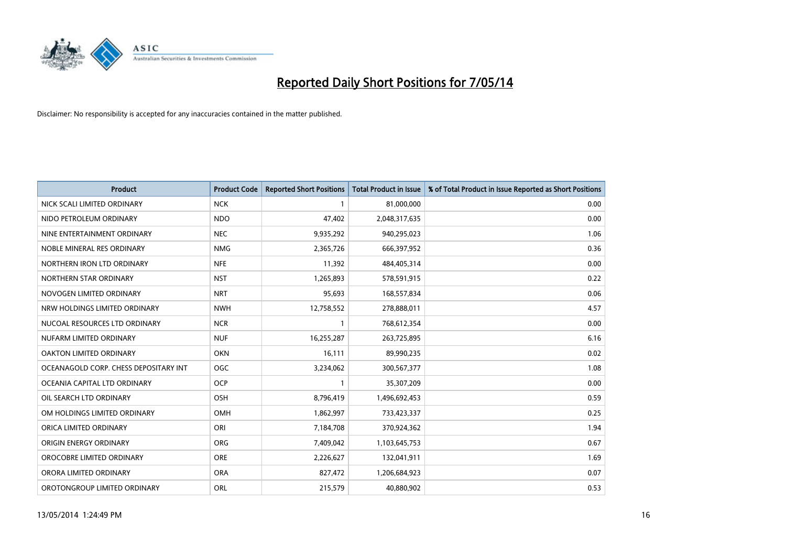

| <b>Product</b>                        | <b>Product Code</b> | <b>Reported Short Positions</b> | <b>Total Product in Issue</b> | % of Total Product in Issue Reported as Short Positions |
|---------------------------------------|---------------------|---------------------------------|-------------------------------|---------------------------------------------------------|
| NICK SCALI LIMITED ORDINARY           | <b>NCK</b>          | $\mathbf{1}$                    | 81,000,000                    | 0.00                                                    |
| NIDO PETROLEUM ORDINARY               | <b>NDO</b>          | 47,402                          | 2,048,317,635                 | 0.00                                                    |
| NINE ENTERTAINMENT ORDINARY           | <b>NEC</b>          | 9,935,292                       | 940,295,023                   | 1.06                                                    |
| NOBLE MINERAL RES ORDINARY            | <b>NMG</b>          | 2,365,726                       | 666,397,952                   | 0.36                                                    |
| NORTHERN IRON LTD ORDINARY            | <b>NFE</b>          | 11,392                          | 484,405,314                   | 0.00                                                    |
| NORTHERN STAR ORDINARY                | <b>NST</b>          | 1,265,893                       | 578,591,915                   | 0.22                                                    |
| NOVOGEN LIMITED ORDINARY              | <b>NRT</b>          | 95,693                          | 168,557,834                   | 0.06                                                    |
| NRW HOLDINGS LIMITED ORDINARY         | <b>NWH</b>          | 12,758,552                      | 278,888,011                   | 4.57                                                    |
| NUCOAL RESOURCES LTD ORDINARY         | <b>NCR</b>          | $\mathbf{1}$                    | 768,612,354                   | 0.00                                                    |
| NUFARM LIMITED ORDINARY               | <b>NUF</b>          | 16,255,287                      | 263,725,895                   | 6.16                                                    |
| OAKTON LIMITED ORDINARY               | <b>OKN</b>          | 16,111                          | 89,990,235                    | 0.02                                                    |
| OCEANAGOLD CORP. CHESS DEPOSITARY INT | <b>OGC</b>          | 3,234,062                       | 300,567,377                   | 1.08                                                    |
| OCEANIA CAPITAL LTD ORDINARY          | <b>OCP</b>          | $\mathbf{1}$                    | 35,307,209                    | 0.00                                                    |
| OIL SEARCH LTD ORDINARY               | OSH                 | 8,796,419                       | 1,496,692,453                 | 0.59                                                    |
| OM HOLDINGS LIMITED ORDINARY          | <b>OMH</b>          | 1,862,997                       | 733,423,337                   | 0.25                                                    |
| ORICA LIMITED ORDINARY                | ORI                 | 7,184,708                       | 370,924,362                   | 1.94                                                    |
| ORIGIN ENERGY ORDINARY                | ORG                 | 7,409,042                       | 1,103,645,753                 | 0.67                                                    |
| OROCOBRE LIMITED ORDINARY             | <b>ORE</b>          | 2,226,627                       | 132,041,911                   | 1.69                                                    |
| ORORA LIMITED ORDINARY                | <b>ORA</b>          | 827,472                         | 1,206,684,923                 | 0.07                                                    |
| OROTONGROUP LIMITED ORDINARY          | ORL                 | 215,579                         | 40,880,902                    | 0.53                                                    |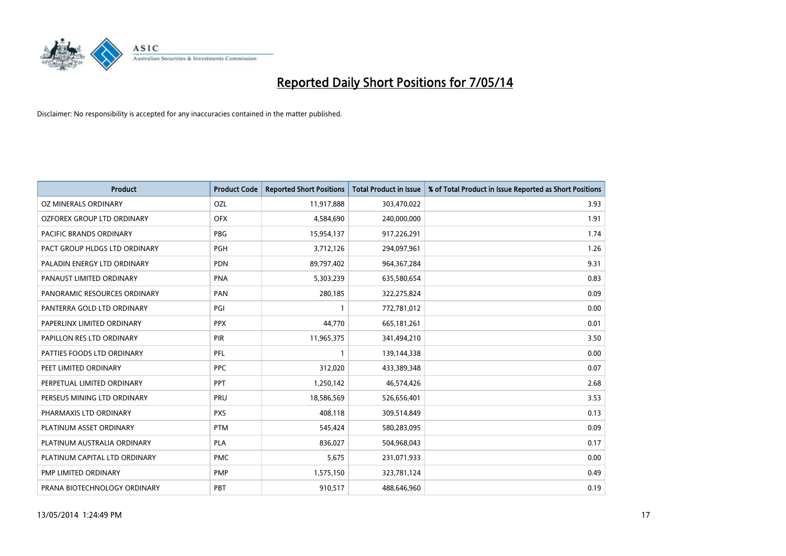

| <b>Product</b>                | <b>Product Code</b> | <b>Reported Short Positions</b> | <b>Total Product in Issue</b> | % of Total Product in Issue Reported as Short Positions |
|-------------------------------|---------------------|---------------------------------|-------------------------------|---------------------------------------------------------|
| <b>OZ MINERALS ORDINARY</b>   | OZL                 | 11,917,888                      | 303,470,022                   | 3.93                                                    |
| OZFOREX GROUP LTD ORDINARY    | <b>OFX</b>          | 4,584,690                       | 240,000,000                   | 1.91                                                    |
| PACIFIC BRANDS ORDINARY       | <b>PBG</b>          | 15,954,137                      | 917,226,291                   | 1.74                                                    |
| PACT GROUP HLDGS LTD ORDINARY | <b>PGH</b>          | 3,712,126                       | 294,097,961                   | 1.26                                                    |
| PALADIN ENERGY LTD ORDINARY   | <b>PDN</b>          | 89,797,402                      | 964, 367, 284                 | 9.31                                                    |
| PANAUST LIMITED ORDINARY      | <b>PNA</b>          | 5,303,239                       | 635,580,654                   | 0.83                                                    |
| PANORAMIC RESOURCES ORDINARY  | PAN                 | 280,185                         | 322,275,824                   | 0.09                                                    |
| PANTERRA GOLD LTD ORDINARY    | PGI                 | 1                               | 772,781,012                   | 0.00                                                    |
| PAPERLINX LIMITED ORDINARY    | <b>PPX</b>          | 44,770                          | 665, 181, 261                 | 0.01                                                    |
| PAPILLON RES LTD ORDINARY     | PIR                 | 11,965,375                      | 341,494,210                   | 3.50                                                    |
| PATTIES FOODS LTD ORDINARY    | PFL                 | 1                               | 139,144,338                   | 0.00                                                    |
| PEET LIMITED ORDINARY         | <b>PPC</b>          | 312,020                         | 433,389,348                   | 0.07                                                    |
| PERPETUAL LIMITED ORDINARY    | <b>PPT</b>          | 1,250,142                       | 46,574,426                    | 2.68                                                    |
| PERSEUS MINING LTD ORDINARY   | PRU                 | 18,586,569                      | 526,656,401                   | 3.53                                                    |
| PHARMAXIS LTD ORDINARY        | <b>PXS</b>          | 408,118                         | 309,514,849                   | 0.13                                                    |
| PLATINUM ASSET ORDINARY       | <b>PTM</b>          | 545,424                         | 580,283,095                   | 0.09                                                    |
| PLATINUM AUSTRALIA ORDINARY   | PLA                 | 836,027                         | 504,968,043                   | 0.17                                                    |
| PLATINUM CAPITAL LTD ORDINARY | <b>PMC</b>          | 5,675                           | 231,071,933                   | 0.00                                                    |
| <b>PMP LIMITED ORDINARY</b>   | <b>PMP</b>          | 1,575,150                       | 323,781,124                   | 0.49                                                    |
| PRANA BIOTECHNOLOGY ORDINARY  | PBT                 | 910,517                         | 488,646,960                   | 0.19                                                    |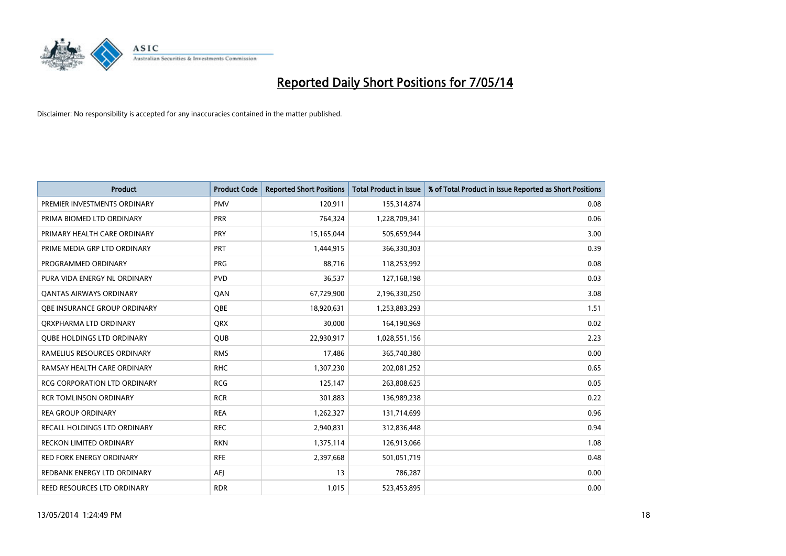

| <b>Product</b>                    | <b>Product Code</b> | <b>Reported Short Positions</b> | <b>Total Product in Issue</b> | % of Total Product in Issue Reported as Short Positions |
|-----------------------------------|---------------------|---------------------------------|-------------------------------|---------------------------------------------------------|
| PREMIER INVESTMENTS ORDINARY      | <b>PMV</b>          | 120,911                         | 155,314,874                   | 0.08                                                    |
| PRIMA BIOMED LTD ORDINARY         | <b>PRR</b>          | 764,324                         | 1,228,709,341                 | 0.06                                                    |
| PRIMARY HEALTH CARE ORDINARY      | <b>PRY</b>          | 15,165,044                      | 505,659,944                   | 3.00                                                    |
| PRIME MEDIA GRP LTD ORDINARY      | <b>PRT</b>          | 1,444,915                       | 366,330,303                   | 0.39                                                    |
| PROGRAMMED ORDINARY               | <b>PRG</b>          | 88,716                          | 118,253,992                   | 0.08                                                    |
| PURA VIDA ENERGY NL ORDINARY      | <b>PVD</b>          | 36,537                          | 127,168,198                   | 0.03                                                    |
| <b>QANTAS AIRWAYS ORDINARY</b>    | QAN                 | 67,729,900                      | 2,196,330,250                 | 3.08                                                    |
| OBE INSURANCE GROUP ORDINARY      | <b>OBE</b>          | 18,920,631                      | 1,253,883,293                 | 1.51                                                    |
| ORXPHARMA LTD ORDINARY            | <b>QRX</b>          | 30,000                          | 164,190,969                   | 0.02                                                    |
| <b>QUBE HOLDINGS LTD ORDINARY</b> | <b>QUB</b>          | 22,930,917                      | 1,028,551,156                 | 2.23                                                    |
| RAMELIUS RESOURCES ORDINARY       | <b>RMS</b>          | 17,486                          | 365,740,380                   | 0.00                                                    |
| RAMSAY HEALTH CARE ORDINARY       | <b>RHC</b>          | 1,307,230                       | 202,081,252                   | 0.65                                                    |
| RCG CORPORATION LTD ORDINARY      | <b>RCG</b>          | 125,147                         | 263,808,625                   | 0.05                                                    |
| <b>RCR TOMLINSON ORDINARY</b>     | <b>RCR</b>          | 301,883                         | 136,989,238                   | 0.22                                                    |
| <b>REA GROUP ORDINARY</b>         | <b>REA</b>          | 1,262,327                       | 131,714,699                   | 0.96                                                    |
| RECALL HOLDINGS LTD ORDINARY      | <b>REC</b>          | 2,940,831                       | 312,836,448                   | 0.94                                                    |
| RECKON LIMITED ORDINARY           | <b>RKN</b>          | 1,375,114                       | 126,913,066                   | 1.08                                                    |
| <b>RED FORK ENERGY ORDINARY</b>   | <b>RFE</b>          | 2,397,668                       | 501,051,719                   | 0.48                                                    |
| REDBANK ENERGY LTD ORDINARY       | <b>AEI</b>          | 13                              | 786,287                       | 0.00                                                    |
| REED RESOURCES LTD ORDINARY       | <b>RDR</b>          | 1,015                           | 523,453,895                   | 0.00                                                    |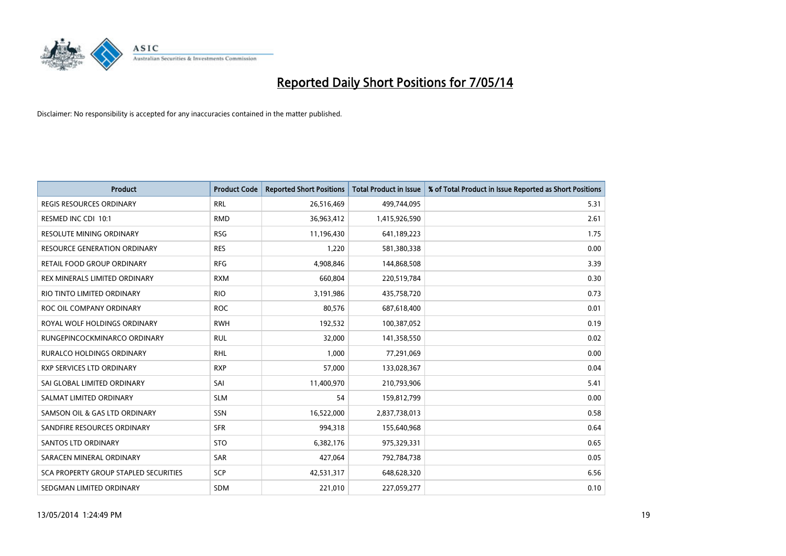

| <b>Product</b>                        | <b>Product Code</b> | <b>Reported Short Positions</b> | <b>Total Product in Issue</b> | % of Total Product in Issue Reported as Short Positions |
|---------------------------------------|---------------------|---------------------------------|-------------------------------|---------------------------------------------------------|
| <b>REGIS RESOURCES ORDINARY</b>       | <b>RRL</b>          | 26,516,469                      | 499,744,095                   | 5.31                                                    |
| RESMED INC CDI 10:1                   | <b>RMD</b>          | 36,963,412                      | 1,415,926,590                 | 2.61                                                    |
| <b>RESOLUTE MINING ORDINARY</b>       | <b>RSG</b>          | 11,196,430                      | 641,189,223                   | 1.75                                                    |
| RESOURCE GENERATION ORDINARY          | <b>RES</b>          | 1,220                           | 581,380,338                   | 0.00                                                    |
| RETAIL FOOD GROUP ORDINARY            | <b>RFG</b>          | 4,908,846                       | 144,868,508                   | 3.39                                                    |
| REX MINERALS LIMITED ORDINARY         | <b>RXM</b>          | 660,804                         | 220,519,784                   | 0.30                                                    |
| RIO TINTO LIMITED ORDINARY            | <b>RIO</b>          | 3,191,986                       | 435,758,720                   | 0.73                                                    |
| ROC OIL COMPANY ORDINARY              | <b>ROC</b>          | 80,576                          | 687,618,400                   | 0.01                                                    |
| ROYAL WOLF HOLDINGS ORDINARY          | <b>RWH</b>          | 192,532                         | 100,387,052                   | 0.19                                                    |
| RUNGEPINCOCKMINARCO ORDINARY          | <b>RUL</b>          | 32,000                          | 141,358,550                   | 0.02                                                    |
| RURALCO HOLDINGS ORDINARY             | <b>RHL</b>          | 1,000                           | 77,291,069                    | 0.00                                                    |
| <b>RXP SERVICES LTD ORDINARY</b>      | <b>RXP</b>          | 57,000                          | 133,028,367                   | 0.04                                                    |
| SAI GLOBAL LIMITED ORDINARY           | SAI                 | 11,400,970                      | 210,793,906                   | 5.41                                                    |
| SALMAT LIMITED ORDINARY               | <b>SLM</b>          | 54                              | 159,812,799                   | 0.00                                                    |
| SAMSON OIL & GAS LTD ORDINARY         | SSN                 | 16,522,000                      | 2,837,738,013                 | 0.58                                                    |
| SANDFIRE RESOURCES ORDINARY           | <b>SFR</b>          | 994,318                         | 155,640,968                   | 0.64                                                    |
| SANTOS LTD ORDINARY                   | <b>STO</b>          | 6,382,176                       | 975,329,331                   | 0.65                                                    |
| SARACEN MINERAL ORDINARY              | <b>SAR</b>          | 427,064                         | 792,784,738                   | 0.05                                                    |
| SCA PROPERTY GROUP STAPLED SECURITIES | <b>SCP</b>          | 42,531,317                      | 648,628,320                   | 6.56                                                    |
| SEDGMAN LIMITED ORDINARY              | <b>SDM</b>          | 221,010                         | 227,059,277                   | 0.10                                                    |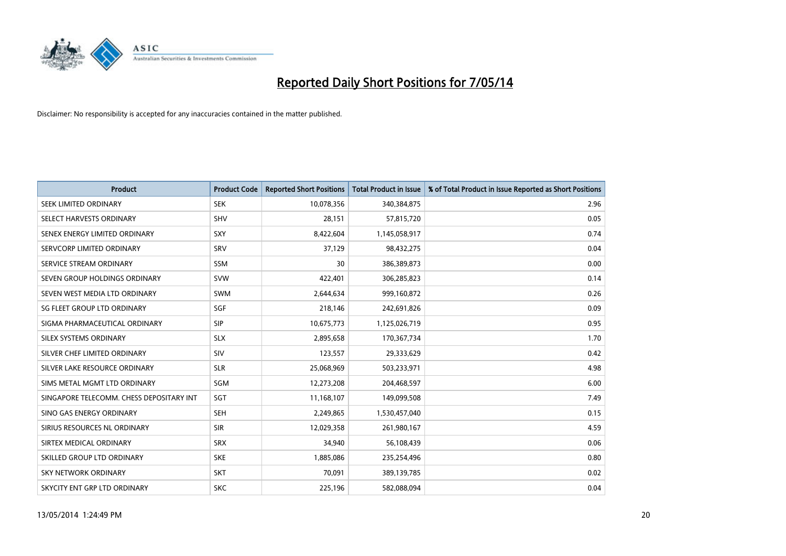

| <b>Product</b>                           | <b>Product Code</b> | <b>Reported Short Positions</b> | <b>Total Product in Issue</b> | % of Total Product in Issue Reported as Short Positions |
|------------------------------------------|---------------------|---------------------------------|-------------------------------|---------------------------------------------------------|
| SEEK LIMITED ORDINARY                    | <b>SEK</b>          | 10,078,356                      | 340,384,875                   | 2.96                                                    |
| SELECT HARVESTS ORDINARY                 | <b>SHV</b>          | 28,151                          | 57,815,720                    | 0.05                                                    |
| SENEX ENERGY LIMITED ORDINARY            | <b>SXY</b>          | 8,422,604                       | 1,145,058,917                 | 0.74                                                    |
| SERVCORP LIMITED ORDINARY                | SRV                 | 37,129                          | 98,432,275                    | 0.04                                                    |
| SERVICE STREAM ORDINARY                  | SSM                 | 30                              | 386,389,873                   | 0.00                                                    |
| SEVEN GROUP HOLDINGS ORDINARY            | <b>SVW</b>          | 422,401                         | 306,285,823                   | 0.14                                                    |
| SEVEN WEST MEDIA LTD ORDINARY            | SWM                 | 2,644,634                       | 999,160,872                   | 0.26                                                    |
| SG FLEET GROUP LTD ORDINARY              | SGF                 | 218,146                         | 242,691,826                   | 0.09                                                    |
| SIGMA PHARMACEUTICAL ORDINARY            | <b>SIP</b>          | 10,675,773                      | 1,125,026,719                 | 0.95                                                    |
| SILEX SYSTEMS ORDINARY                   | <b>SLX</b>          | 2,895,658                       | 170,367,734                   | 1.70                                                    |
| SILVER CHEF LIMITED ORDINARY             | <b>SIV</b>          | 123,557                         | 29,333,629                    | 0.42                                                    |
| SILVER LAKE RESOURCE ORDINARY            | <b>SLR</b>          | 25,068,969                      | 503,233,971                   | 4.98                                                    |
| SIMS METAL MGMT LTD ORDINARY             | SGM                 | 12,273,208                      | 204,468,597                   | 6.00                                                    |
| SINGAPORE TELECOMM. CHESS DEPOSITARY INT | SGT                 | 11,168,107                      | 149,099,508                   | 7.49                                                    |
| SINO GAS ENERGY ORDINARY                 | <b>SEH</b>          | 2,249,865                       | 1,530,457,040                 | 0.15                                                    |
| SIRIUS RESOURCES NL ORDINARY             | <b>SIR</b>          | 12,029,358                      | 261,980,167                   | 4.59                                                    |
| SIRTEX MEDICAL ORDINARY                  | <b>SRX</b>          | 34,940                          | 56,108,439                    | 0.06                                                    |
| SKILLED GROUP LTD ORDINARY               | <b>SKE</b>          | 1,885,086                       | 235,254,496                   | 0.80                                                    |
| <b>SKY NETWORK ORDINARY</b>              | <b>SKT</b>          | 70,091                          | 389,139,785                   | 0.02                                                    |
| SKYCITY ENT GRP LTD ORDINARY             | <b>SKC</b>          | 225,196                         | 582,088,094                   | 0.04                                                    |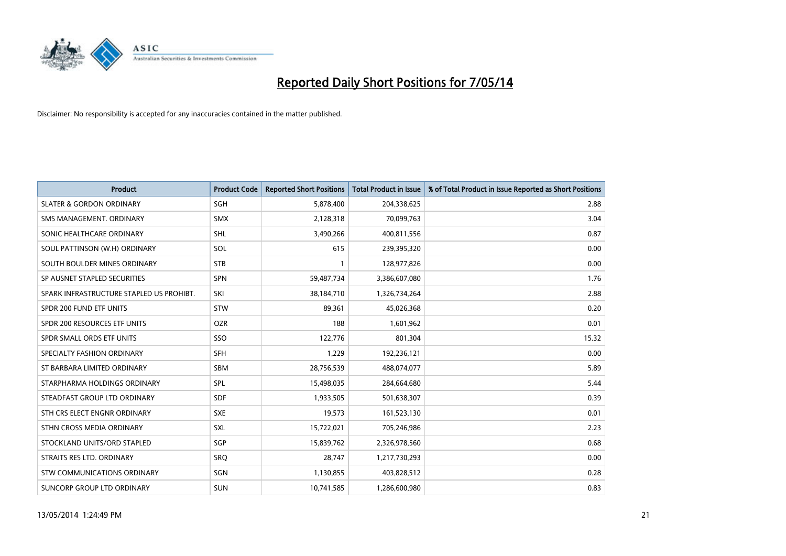

| <b>Product</b>                           | <b>Product Code</b> | <b>Reported Short Positions</b> | <b>Total Product in Issue</b> | % of Total Product in Issue Reported as Short Positions |
|------------------------------------------|---------------------|---------------------------------|-------------------------------|---------------------------------------------------------|
| <b>SLATER &amp; GORDON ORDINARY</b>      | SGH                 | 5,878,400                       | 204,338,625                   | 2.88                                                    |
| SMS MANAGEMENT. ORDINARY                 | <b>SMX</b>          | 2,128,318                       | 70,099,763                    | 3.04                                                    |
| SONIC HEALTHCARE ORDINARY                | <b>SHL</b>          | 3,490,266                       | 400,811,556                   | 0.87                                                    |
| SOUL PATTINSON (W.H) ORDINARY            | <b>SOL</b>          | 615                             | 239,395,320                   | 0.00                                                    |
| SOUTH BOULDER MINES ORDINARY             | <b>STB</b>          | 1                               | 128,977,826                   | 0.00                                                    |
| SP AUSNET STAPLED SECURITIES             | <b>SPN</b>          | 59,487,734                      | 3,386,607,080                 | 1.76                                                    |
| SPARK INFRASTRUCTURE STAPLED US PROHIBT. | SKI                 | 38,184,710                      | 1,326,734,264                 | 2.88                                                    |
| SPDR 200 FUND ETF UNITS                  | <b>STW</b>          | 89,361                          | 45,026,368                    | 0.20                                                    |
| SPDR 200 RESOURCES ETF UNITS             | <b>OZR</b>          | 188                             | 1,601,962                     | 0.01                                                    |
| SPDR SMALL ORDS ETF UNITS                | SSO                 | 122,776                         | 801,304                       | 15.32                                                   |
| SPECIALTY FASHION ORDINARY               | <b>SFH</b>          | 1,229                           | 192,236,121                   | 0.00                                                    |
| ST BARBARA LIMITED ORDINARY              | <b>SBM</b>          | 28,756,539                      | 488,074,077                   | 5.89                                                    |
| STARPHARMA HOLDINGS ORDINARY             | <b>SPL</b>          | 15,498,035                      | 284,664,680                   | 5.44                                                    |
| STEADFAST GROUP LTD ORDINARY             | SDF                 | 1,933,505                       | 501,638,307                   | 0.39                                                    |
| STH CRS ELECT ENGNR ORDINARY             | <b>SXE</b>          | 19,573                          | 161,523,130                   | 0.01                                                    |
| STHN CROSS MEDIA ORDINARY                | <b>SXL</b>          | 15,722,021                      | 705,246,986                   | 2.23                                                    |
| STOCKLAND UNITS/ORD STAPLED              | SGP                 | 15,839,762                      | 2,326,978,560                 | 0.68                                                    |
| STRAITS RES LTD. ORDINARY                | SRQ                 | 28,747                          | 1,217,730,293                 | 0.00                                                    |
| STW COMMUNICATIONS ORDINARY              | SGN                 | 1,130,855                       | 403,828,512                   | 0.28                                                    |
| SUNCORP GROUP LTD ORDINARY               | <b>SUN</b>          | 10,741,585                      | 1,286,600,980                 | 0.83                                                    |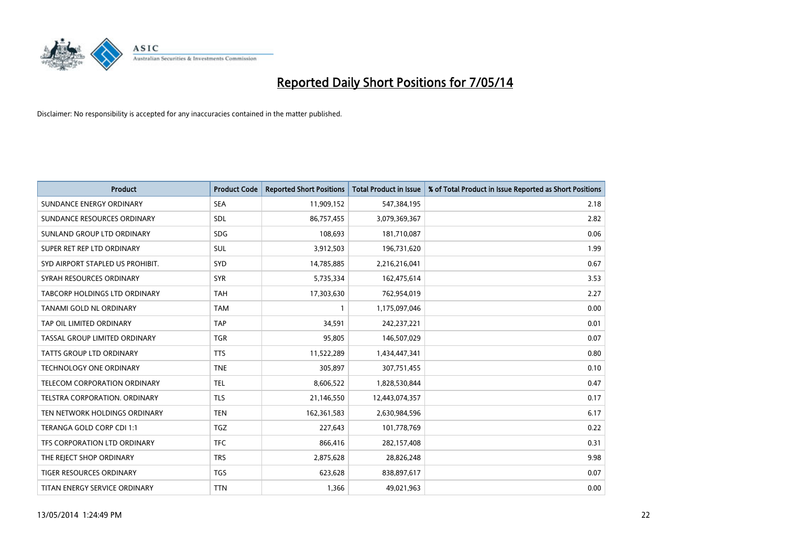

| <b>Product</b>                       | <b>Product Code</b> | <b>Reported Short Positions</b> | <b>Total Product in Issue</b> | % of Total Product in Issue Reported as Short Positions |
|--------------------------------------|---------------------|---------------------------------|-------------------------------|---------------------------------------------------------|
| SUNDANCE ENERGY ORDINARY             | <b>SEA</b>          | 11,909,152                      | 547,384,195                   | 2.18                                                    |
| SUNDANCE RESOURCES ORDINARY          | <b>SDL</b>          | 86,757,455                      | 3,079,369,367                 | 2.82                                                    |
| SUNLAND GROUP LTD ORDINARY           | <b>SDG</b>          | 108,693                         | 181,710,087                   | 0.06                                                    |
| SUPER RET REP LTD ORDINARY           | SUL                 | 3,912,503                       | 196,731,620                   | 1.99                                                    |
| SYD AIRPORT STAPLED US PROHIBIT.     | <b>SYD</b>          | 14,785,885                      | 2,216,216,041                 | 0.67                                                    |
| SYRAH RESOURCES ORDINARY             | <b>SYR</b>          | 5,735,334                       | 162,475,614                   | 3.53                                                    |
| <b>TABCORP HOLDINGS LTD ORDINARY</b> | TAH                 | 17,303,630                      | 762,954,019                   | 2.27                                                    |
| TANAMI GOLD NL ORDINARY              | <b>TAM</b>          | $\mathbf{1}$                    | 1,175,097,046                 | 0.00                                                    |
| TAP OIL LIMITED ORDINARY             | <b>TAP</b>          | 34,591                          | 242,237,221                   | 0.01                                                    |
| TASSAL GROUP LIMITED ORDINARY        | <b>TGR</b>          | 95,805                          | 146,507,029                   | 0.07                                                    |
| TATTS GROUP LTD ORDINARY             | <b>TTS</b>          | 11,522,289                      | 1,434,447,341                 | 0.80                                                    |
| <b>TECHNOLOGY ONE ORDINARY</b>       | <b>TNE</b>          | 305,897                         | 307,751,455                   | 0.10                                                    |
| TELECOM CORPORATION ORDINARY         | <b>TEL</b>          | 8,606,522                       | 1,828,530,844                 | 0.47                                                    |
| TELSTRA CORPORATION, ORDINARY        | <b>TLS</b>          | 21,146,550                      | 12,443,074,357                | 0.17                                                    |
| TEN NETWORK HOLDINGS ORDINARY        | <b>TEN</b>          | 162,361,583                     | 2,630,984,596                 | 6.17                                                    |
| TERANGA GOLD CORP CDI 1:1            | <b>TGZ</b>          | 227,643                         | 101,778,769                   | 0.22                                                    |
| TFS CORPORATION LTD ORDINARY         | <b>TFC</b>          | 866,416                         | 282,157,408                   | 0.31                                                    |
| THE REJECT SHOP ORDINARY             | <b>TRS</b>          | 2,875,628                       | 28,826,248                    | 9.98                                                    |
| TIGER RESOURCES ORDINARY             | <b>TGS</b>          | 623,628                         | 838,897,617                   | 0.07                                                    |
| TITAN ENERGY SERVICE ORDINARY        | <b>TTN</b>          | 1,366                           | 49,021,963                    | 0.00                                                    |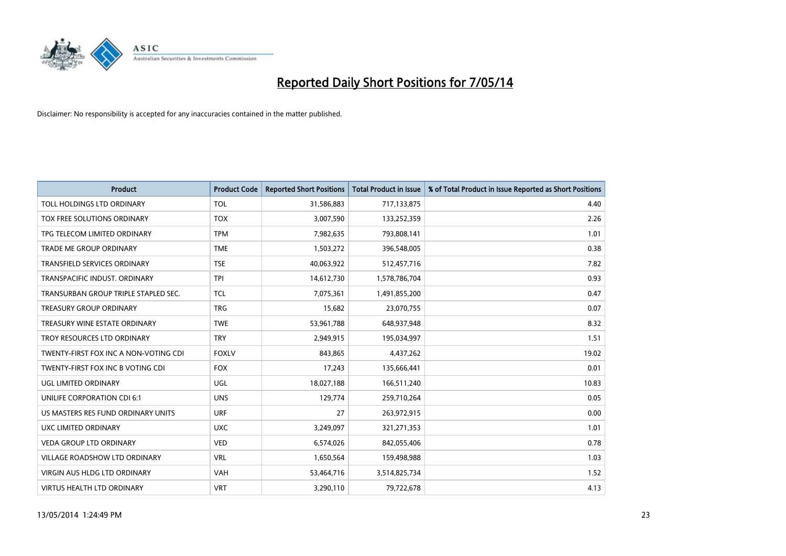

| <b>Product</b>                        | <b>Product Code</b> | <b>Reported Short Positions</b> | <b>Total Product in Issue</b> | % of Total Product in Issue Reported as Short Positions |
|---------------------------------------|---------------------|---------------------------------|-------------------------------|---------------------------------------------------------|
| TOLL HOLDINGS LTD ORDINARY            | <b>TOL</b>          | 31,586,883                      | 717,133,875                   | 4.40                                                    |
| TOX FREE SOLUTIONS ORDINARY           | <b>TOX</b>          | 3,007,590                       | 133,252,359                   | 2.26                                                    |
| TPG TELECOM LIMITED ORDINARY          | <b>TPM</b>          | 7,982,635                       | 793,808,141                   | 1.01                                                    |
| <b>TRADE ME GROUP ORDINARY</b>        | <b>TME</b>          | 1,503,272                       | 396,548,005                   | 0.38                                                    |
| <b>TRANSFIELD SERVICES ORDINARY</b>   | <b>TSE</b>          | 40,063,922                      | 512,457,716                   | 7.82                                                    |
| TRANSPACIFIC INDUST, ORDINARY         | <b>TPI</b>          | 14,612,730                      | 1,578,786,704                 | 0.93                                                    |
| TRANSURBAN GROUP TRIPLE STAPLED SEC.  | <b>TCL</b>          | 7,075,361                       | 1,491,855,200                 | 0.47                                                    |
| TREASURY GROUP ORDINARY               | <b>TRG</b>          | 15,682                          | 23,070,755                    | 0.07                                                    |
| TREASURY WINE ESTATE ORDINARY         | <b>TWE</b>          | 53,961,788                      | 648,937,948                   | 8.32                                                    |
| TROY RESOURCES LTD ORDINARY           | <b>TRY</b>          | 2,949,915                       | 195,034,997                   | 1.51                                                    |
| TWENTY-FIRST FOX INC A NON-VOTING CDI | <b>FOXLV</b>        | 843,865                         | 4,437,262                     | 19.02                                                   |
| TWENTY-FIRST FOX INC B VOTING CDI     | <b>FOX</b>          | 17,243                          | 135,666,441                   | 0.01                                                    |
| <b>UGL LIMITED ORDINARY</b>           | UGL                 | 18,027,188                      | 166,511,240                   | 10.83                                                   |
| UNILIFE CORPORATION CDI 6:1           | <b>UNS</b>          | 129,774                         | 259,710,264                   | 0.05                                                    |
| US MASTERS RES FUND ORDINARY UNITS    | <b>URF</b>          | 27                              | 263,972,915                   | 0.00                                                    |
| UXC LIMITED ORDINARY                  | <b>UXC</b>          | 3,249,097                       | 321,271,353                   | 1.01                                                    |
| VEDA GROUP LTD ORDINARY               | <b>VED</b>          | 6,574,026                       | 842,055,406                   | 0.78                                                    |
| <b>VILLAGE ROADSHOW LTD ORDINARY</b>  | <b>VRL</b>          | 1,650,564                       | 159,498,988                   | 1.03                                                    |
| VIRGIN AUS HLDG LTD ORDINARY          | <b>VAH</b>          | 53,464,716                      | 3,514,825,734                 | 1.52                                                    |
| <b>VIRTUS HEALTH LTD ORDINARY</b>     | <b>VRT</b>          | 3,290,110                       | 79,722,678                    | 4.13                                                    |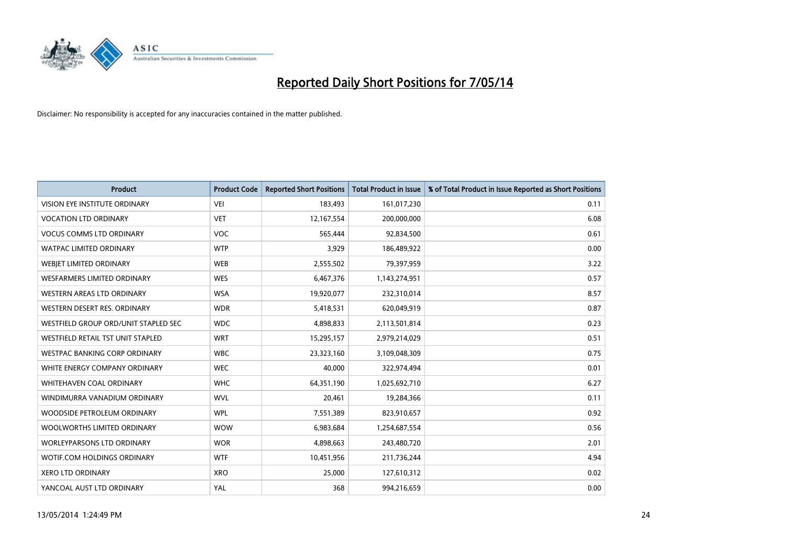

| <b>Product</b>                       | <b>Product Code</b> | <b>Reported Short Positions</b> | <b>Total Product in Issue</b> | % of Total Product in Issue Reported as Short Positions |
|--------------------------------------|---------------------|---------------------------------|-------------------------------|---------------------------------------------------------|
| VISION EYE INSTITUTE ORDINARY        | <b>VEI</b>          | 183,493                         | 161,017,230                   | 0.11                                                    |
| <b>VOCATION LTD ORDINARY</b>         | <b>VET</b>          | 12,167,554                      | 200,000,000                   | 6.08                                                    |
| <b>VOCUS COMMS LTD ORDINARY</b>      | <b>VOC</b>          | 565,444                         | 92,834,500                    | 0.61                                                    |
| WATPAC LIMITED ORDINARY              | <b>WTP</b>          | 3,929                           | 186,489,922                   | 0.00                                                    |
| WEBIET LIMITED ORDINARY              | <b>WEB</b>          | 2,555,502                       | 79,397,959                    | 3.22                                                    |
| <b>WESFARMERS LIMITED ORDINARY</b>   | <b>WES</b>          | 6,467,376                       | 1,143,274,951                 | 0.57                                                    |
| WESTERN AREAS LTD ORDINARY           | <b>WSA</b>          | 19,920,077                      | 232,310,014                   | 8.57                                                    |
| WESTERN DESERT RES. ORDINARY         | <b>WDR</b>          | 5,418,531                       | 620,049,919                   | 0.87                                                    |
| WESTFIELD GROUP ORD/UNIT STAPLED SEC | <b>WDC</b>          | 4,898,833                       | 2,113,501,814                 | 0.23                                                    |
| WESTFIELD RETAIL TST UNIT STAPLED    | <b>WRT</b>          | 15,295,157                      | 2,979,214,029                 | 0.51                                                    |
| WESTPAC BANKING CORP ORDINARY        | <b>WBC</b>          | 23,323,160                      | 3,109,048,309                 | 0.75                                                    |
| WHITE ENERGY COMPANY ORDINARY        | <b>WEC</b>          | 40,000                          | 322,974,494                   | 0.01                                                    |
| WHITEHAVEN COAL ORDINARY             | <b>WHC</b>          | 64,351,190                      | 1,025,692,710                 | 6.27                                                    |
| WINDIMURRA VANADIUM ORDINARY         | <b>WVL</b>          | 20,461                          | 19,284,366                    | 0.11                                                    |
| WOODSIDE PETROLEUM ORDINARY          | <b>WPL</b>          | 7,551,389                       | 823,910,657                   | 0.92                                                    |
| WOOLWORTHS LIMITED ORDINARY          | <b>WOW</b>          | 6,983,684                       | 1,254,687,554                 | 0.56                                                    |
| WORLEYPARSONS LTD ORDINARY           | <b>WOR</b>          | 4,898,663                       | 243,480,720                   | 2.01                                                    |
| WOTIF.COM HOLDINGS ORDINARY          | <b>WTF</b>          | 10,451,956                      | 211,736,244                   | 4.94                                                    |
| <b>XERO LTD ORDINARY</b>             | <b>XRO</b>          | 25,000                          | 127,610,312                   | 0.02                                                    |
| YANCOAL AUST LTD ORDINARY            | YAL                 | 368                             | 994,216,659                   | 0.00                                                    |